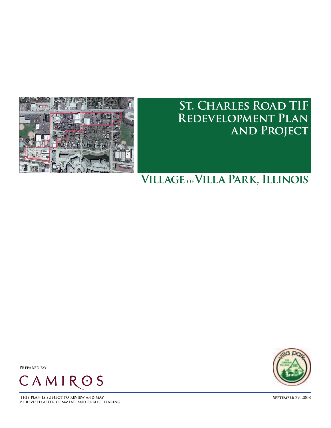

# **St. Charles Road TIF Redevelopment Plan and Project**

# **Village ofVilla Park, Illinois**

**Prepared by:**



**This plan is subject to review and may September 29, 2008 be revised after comment and public hearing**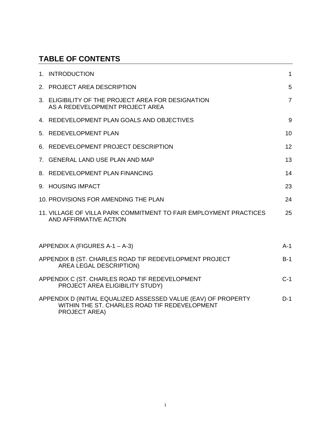# **TABLE OF CONTENTS**

|                                         | 1. INTRODUCTION                                                                                                                         | 1              |  |
|-----------------------------------------|-----------------------------------------------------------------------------------------------------------------------------------------|----------------|--|
|                                         | 2. PROJECT AREA DESCRIPTION                                                                                                             | 5              |  |
|                                         | 3. ELIGIBILITY OF THE PROJECT AREA FOR DESIGNATION<br>AS A REDEVELOPMENT PROJECT AREA                                                   | $\overline{7}$ |  |
|                                         | 4. REDEVELOPMENT PLAN GOALS AND OBJECTIVES                                                                                              | 9              |  |
|                                         | 5. REDEVELOPMENT PLAN                                                                                                                   | 10             |  |
|                                         | 6. REDEVELOPMENT PROJECT DESCRIPTION                                                                                                    | 12             |  |
|                                         | 7. GENERAL LAND USE PLAN AND MAP                                                                                                        | 13             |  |
|                                         | 8. REDEVELOPMENT PLAN FINANCING                                                                                                         | 14             |  |
|                                         | 9. HOUSING IMPACT                                                                                                                       | 23             |  |
|                                         | 10. PROVISIONS FOR AMENDING THE PLAN                                                                                                    | 24             |  |
|                                         | 11. VILLAGE OF VILLA PARK COMMITMENT TO FAIR EMPLOYMENT PRACTICES<br>AND AFFIRMATIVE ACTION                                             | 25             |  |
|                                         |                                                                                                                                         |                |  |
| APPENDIX A (FIGURES A-1 - A-3)<br>$A-1$ |                                                                                                                                         |                |  |
|                                         | APPENDIX B (ST. CHARLES ROAD TIF REDEVELOPMENT PROJECT<br>AREA LEGAL DESCRIPTION)                                                       | $B-1$          |  |
|                                         | APPENDIX C (ST. CHARLES ROAD TIF REDEVELOPMENT<br>PROJECT AREA ELIGIBILITY STUDY)                                                       | $C-1$          |  |
|                                         | APPENDIX D (INITIAL EQUALIZED ASSESSED VALUE (EAV) OF PROPERTY<br>WITHIN THE ST. CHARLES ROAD TIF REDEVELOPMENT<br><b>PROJECT AREA)</b> | $D-1$          |  |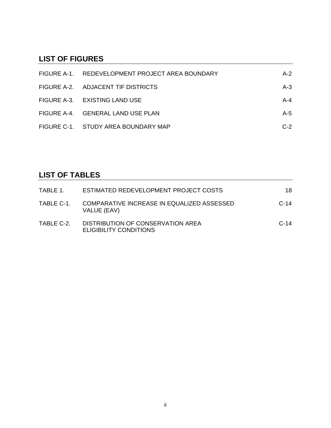# **LIST OF FIGURES**

| FIGURE A-1. REDEVELOPMENT PROJECT AREA BOUNDARY | $A-2$ |
|-------------------------------------------------|-------|
| FIGURE A-2. ADJACENT TIF DISTRICTS              | $A-3$ |
| FIGURE A-3. EXISTING LAND USE                   | A-4   |
| FIGURE A-4. GENERAL LAND USE PLAN               | A-5   |
| FIGURE C-1. STUDY AREA BOUNDARY MAP             | $C-2$ |

# **LIST OF TABLES**

| TABLE 1.   | ESTIMATED REDEVELOPMENT PROJECT COSTS                       | 18     |
|------------|-------------------------------------------------------------|--------|
| TABLE C-1. | COMPARATIVE INCREASE IN EQUALIZED ASSESSED<br>VALUE (EAV)   | $C-14$ |
| TABLE C-2. | DISTRIBUTION OF CONSERVATION AREA<br>ELIGIBILITY CONDITIONS | $C-14$ |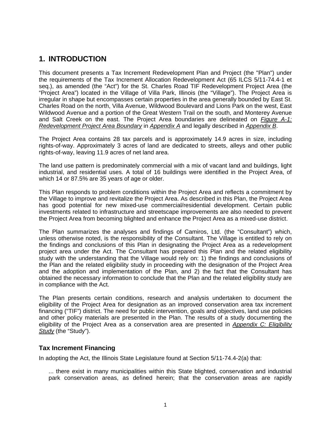### **1. INTRODUCTION**

This document presents a Tax Increment Redevelopment Plan and Project (the "Plan") under the requirements of the Tax Increment Allocation Redevelopment Act (65 ILCS 5/11-74.4-1 et seq.), as amended (the "Act") for the St. Charles Road TIF Redevelopment Project Area (the "Project Area") located in the Village of Villa Park, Illinois (the "Village"). The Project Area is irregular in shape but encompasses certain properties in the area generally bounded by East St. Charles Road on the north, Villa Avenue, Wildwood Boulevard and Lions Park on the west, East Wildwood Avenue and a portion of the Great Western Trail on the south, and Monterey Avenue and Salt Creek on the east. The Project Area boundaries are delineated on *Figure A-1: Redevelopment Project Area Boundary* in *Appendix A* and legally described in *Appendix B*.

The Project Area contains 28 tax parcels and is approximately 14.9 acres in size, including rights-of-way. Approximately 3 acres of land are dedicated to streets, alleys and other public rights-of-way, leaving 11.9 acres of net land area.

The land use pattern is predominately commercial with a mix of vacant land and buildings, light industrial, and residential uses. A total of 16 buildings were identified in the Project Area, of which 14 or 87.5% are 35 years of age or older.

This Plan responds to problem conditions within the Project Area and reflects a commitment by the Village to improve and revitalize the Project Area. As described in this Plan, the Project Area has good potential for new mixed-use commercial/residential development. Certain public investments related to infrastructure and streetscape improvements are also needed to prevent the Project Area from becoming blighted and enhance the Project Area as a mixed-use district.

The Plan summarizes the analyses and findings of Camiros, Ltd. (the "Consultant") which, unless otherwise noted, is the responsibility of the Consultant. The Village is entitled to rely on the findings and conclusions of this Plan in designating the Project Area as a redevelopment project area under the Act. The Consultant has prepared this Plan and the related eligibility study with the understanding that the Village would rely on: 1) the findings and conclusions of the Plan and the related eligibility study in proceeding with the designation of the Project Area and the adoption and implementation of the Plan, and 2) the fact that the Consultant has obtained the necessary information to conclude that the Plan and the related eligibility study are in compliance with the Act.

The Plan presents certain conditions, research and analysis undertaken to document the eligibility of the Project Area for designation as an improved conservation area tax increment financing ("TIF") district. The need for public intervention, goals and objectives, land use policies and other policy materials are presented in the Plan. The results of a study documenting the eligibility of the Project Area as a conservation area are presented in *Appendix C: Eligibility Study* (the "Study").

#### **Tax Increment Financing**

In adopting the Act, the Illinois State Legislature found at Section 5/11-74.4-2(a) that:

... there exist in many municipalities within this State blighted, conservation and industrial park conservation areas, as defined herein; that the conservation areas are rapidly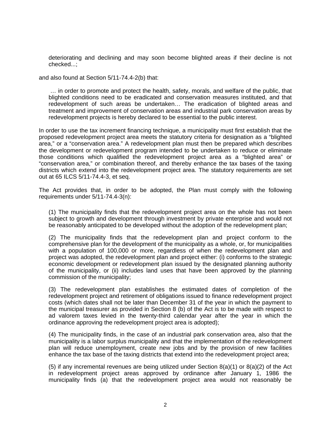deteriorating and declining and may soon become blighted areas if their decline is not checked...;

and also found at Section 5/11-74.4-2(b) that:

 … in order to promote and protect the health, safety, morals, and welfare of the public, that blighted conditions need to be eradicated and conservation measures instituted, and that redevelopment of such areas be undertaken… The eradication of blighted areas and treatment and improvement of conservation areas and industrial park conservation areas by redevelopment projects is hereby declared to be essential to the public interest.

In order to use the tax increment financing technique, a municipality must first establish that the proposed redevelopment project area meets the statutory criteria for designation as a "blighted area," or a "conservation area." A redevelopment plan must then be prepared which describes the development or redevelopment program intended to be undertaken to reduce or eliminate those conditions which qualified the redevelopment project area as a "blighted area" or "conservation area," or combination thereof, and thereby enhance the tax bases of the taxing districts which extend into the redevelopment project area. The statutory requirements are set out at 65 ILCS 5/11-74.4-3, et seq.

The Act provides that, in order to be adopted, the Plan must comply with the following requirements under 5/11-74.4-3(n):

(1) The municipality finds that the redevelopment project area on the whole has not been subject to growth and development through investment by private enterprise and would not be reasonably anticipated to be developed without the adoption of the redevelopment plan;

(2) The municipality finds that the redevelopment plan and project conform to the comprehensive plan for the development of the municipality as a whole, or, for municipalities with a population of 100,000 or more, regardless of when the redevelopment plan and project was adopted, the redevelopment plan and project either: (i) conforms to the strategic economic development or redevelopment plan issued by the designated planning authority of the municipality, or (ii) includes land uses that have been approved by the planning commission of the municipality;

(3) The redevelopment plan establishes the estimated dates of completion of the redevelopment project and retirement of obligations issued to finance redevelopment project costs (which dates shall not be later than December 31 of the year in which the payment to the municipal treasurer as provided in Section 8 (b) of the Act is to be made with respect to ad valorem taxes levied in the twenty-third calendar year after the year in which the ordinance approving the redevelopment project area is adopted);

(4) The municipality finds, in the case of an industrial park conservation area, also that the municipality is a labor surplus municipality and that the implementation of the redevelopment plan will reduce unemployment, create new jobs and by the provision of new facilities enhance the tax base of the taxing districts that extend into the redevelopment project area;

(5) if any incremental revenues are being utilized under Section 8(a)(1) or 8(a)(2) of the Act in redevelopment project areas approved by ordinance after January 1, 1986 the municipality finds (a) that the redevelopment project area would not reasonably be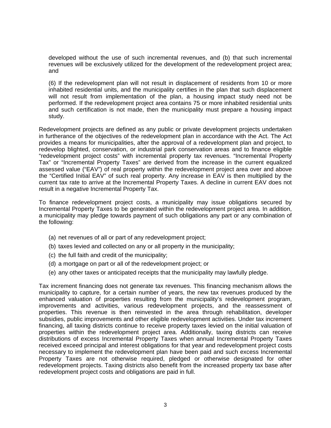developed without the use of such incremental revenues, and (b) that such incremental revenues will be exclusively utilized for the development of the redevelopment project area; and

(6) If the redevelopment plan will not result in displacement of residents from 10 or more inhabited residential units, and the municipality certifies in the plan that such displacement will not result from implementation of the plan, a housing impact study need not be performed. If the redevelopment project area contains 75 or more inhabited residential units and such certification is not made, then the municipality must prepare a housing impact study.

Redevelopment projects are defined as any public or private development projects undertaken in furtherance of the objectives of the redevelopment plan in accordance with the Act. The Act provides a means for municipalities, after the approval of a redevelopment plan and project, to redevelop blighted, conservation, or industrial park conservation areas and to finance eligible "redevelopment project costs" with incremental property tax revenues. "Incremental Property Tax" or "Incremental Property Taxes" are derived from the increase in the current equalized assessed value ("EAV") of real property within the redevelopment project area over and above the "Certified Initial EAV" of such real property. Any increase in EAV is then multiplied by the current tax rate to arrive at the Incremental Property Taxes. A decline in current EAV does not result in a negative Incremental Property Tax.

To finance redevelopment project costs, a municipality may issue obligations secured by Incremental Property Taxes to be generated within the redevelopment project area. In addition, a municipality may pledge towards payment of such obligations any part or any combination of the following:

- (a) net revenues of all or part of any redevelopment project;
- (b) taxes levied and collected on any or all property in the municipality;
- (c) the full faith and credit of the municipality;
- (d) a mortgage on part or all of the redevelopment project; or
- (e) any other taxes or anticipated receipts that the municipality may lawfully pledge.

Tax increment financing does not generate tax revenues. This financing mechanism allows the municipality to capture, for a certain number of years, the new tax revenues produced by the enhanced valuation of properties resulting from the municipality's redevelopment program, improvements and activities, various redevelopment projects, and the reassessment of properties. This revenue is then reinvested in the area through rehabilitation, developer subsidies, public improvements and other eligible redevelopment activities. Under tax increment financing, all taxing districts continue to receive property taxes levied on the initial valuation of properties within the redevelopment project area. Additionally, taxing districts can receive distributions of excess Incremental Property Taxes when annual Incremental Property Taxes received exceed principal and interest obligations for that year and redevelopment project costs necessary to implement the redevelopment plan have been paid and such excess Incremental Property Taxes are not otherwise required, pledged or otherwise designated for other redevelopment projects. Taxing districts also benefit from the increased property tax base after redevelopment project costs and obligations are paid in full.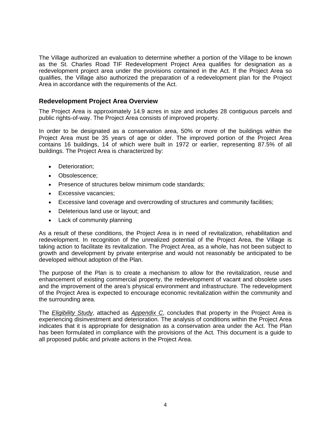The Village authorized an evaluation to determine whether a portion of the Village to be known as the St. Charles Road TIF Redevelopment Project Area qualifies for designation as a redevelopment project area under the provisions contained in the Act. If the Project Area so qualifies, the Village also authorized the preparation of a redevelopment plan for the Project Area in accordance with the requirements of the Act.

#### **Redevelopment Project Area Overview**

The Project Area is approximately 14.9 acres in size and includes 28 contiguous parcels and public rights-of-way. The Project Area consists of improved property.

In order to be designated as a conservation area, 50% or more of the buildings within the Project Area must be 35 years of age or older. The improved portion of the Project Area contains 16 buildings, 14 of which were built in 1972 or earlier, representing 87.5% of all buildings. The Project Area is characterized by:

- Deterioration;
- Obsolescence;
- Presence of structures below minimum code standards;
- Excessive vacancies;
- Excessive land coverage and overcrowding of structures and community facilities;
- Deleterious land use or layout; and
- Lack of community planning

As a result of these conditions, the Project Area is in need of revitalization, rehabilitation and redevelopment. In recognition of the unrealized potential of the Project Area, the Village is taking action to facilitate its revitalization. The Project Area, as a whole, has not been subject to growth and development by private enterprise and would not reasonably be anticipated to be developed without adoption of the Plan.

The purpose of the Plan is to create a mechanism to allow for the revitalization, reuse and enhancement of existing commercial property, the redevelopment of vacant and obsolete uses and the improvement of the area's physical environment and infrastructure. The redevelopment of the Project Area is expected to encourage economic revitalization within the community and the surrounding area.

The *Eligibility Study*, attached as *Appendix C*, concludes that property in the Project Area is experiencing disinvestment and deterioration. The analysis of conditions within the Project Area indicates that it is appropriate for designation as a conservation area under the Act. The Plan has been formulated in compliance with the provisions of the Act. This document is a guide to all proposed public and private actions in the Project Area.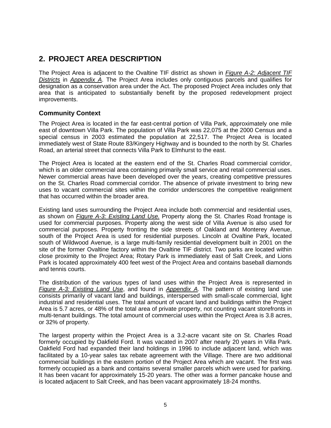## **2. PROJECT AREA DESCRIPTION**

The Project Area is adjacent to the Ovaltine TIF district as shown in *Figure A-2: Adjacent TIF Districts* in *Appendix A*. The Project Area includes only contiguous parcels and qualifies for designation as a conservation area under the Act. The proposed Project Area includes only that area that is anticipated to substantially benefit by the proposed redevelopment project improvements.

#### **Community Context**

The Project Area is located in the far east-central portion of Villa Park, approximately one mile east of downtown Villa Park. The population of Villa Park was 22,075 at the 2000 Census and a special census in 2003 estimated the population at 22,517. The Project Area is located immediately west of State Route 83/Kingery Highway and is bounded to the north by St. Charles Road, an arterial street that connects Villa Park to Elmhurst to the east.

The Project Area is located at the eastern end of the St. Charles Road commercial corridor, which is an older commercial area containing primarily small service and retail commercial uses. Newer commercial areas have been developed over the years, creating competitive pressures on the St. Charles Road commercial corridor. The absence of private investment to bring new uses to vacant commercial sites within the corridor underscores the competitive realignment that has occurred within the broader area.

Existing land uses surrounding the Project Area include both commercial and residential uses, as shown on *Figure A-3: Existing Land Use.* Property along the St. Charles Road frontage is used for commercial purposes. Property along the west side of Villa Avenue is also used for commercial purposes. Property fronting the side streets of Oakland and Monterey Avenue, south of the Project Area is used for residential purposes. Lincoln at Ovaltine Park, located south of Wildwood Avenue, is a large multi-family residential development built in 2001 on the site of the former Ovaltine factory within the Ovaltine TIF district. Two parks are located within close proximity to the Project Area; Rotary Park is immediately east of Salt Creek, and Lions Park is located approximately 400 feet west of the Project Area and contains baseball diamonds and tennis courts.

The distribution of the various types of land uses within the Project Area is represented in *Figure A-3: Existing Land Use*, and found in *Appendix A*. The pattern of existing land use consists primarily of vacant land and buildings, interspersed with small-scale commercial, light industrial and residential uses. The total amount of vacant land and buildings within the Project Area is 5.7 acres, or 48% of the total area of private property, not counting vacant storefronts in multi-tenant buildings. The total amount of commercial uses within the Project Area is 3.8 acres, or 32% of property.

The largest property within the Project Area is a 3.2-acre vacant site on St. Charles Road formerly occupied by Oakfield Ford. It was vacated in 2007 after nearly 20 years in Villa Park. Oakfield Ford had expanded their land holdings in 1996 to include adjacent land, which was facilitated by a 10-year sales tax rebate agreement with the Village. There are two additional commercial buildings in the eastern portion of the Project Area which are vacant. The first was formerly occupied as a bank and contains several smaller parcels which were used for parking. It has been vacant for approximately 15-20 years. The other was a former pancake house and is located adjacent to Salt Creek, and has been vacant approximately 18-24 months.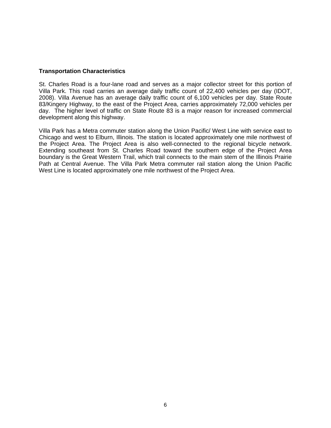#### **Transportation Characteristics**

St. Charles Road is a four-lane road and serves as a major collector street for this portion of Villa Park. This road carries an average daily traffic count of 22,400 vehicles per day (IDOT, 2008). Villa Avenue has an average daily traffic count of 6,100 vehicles per day. State Route 83/Kingery Highway, to the east of the Project Area, carries approximately 72,000 vehicles per day. The higher level of traffic on State Route 83 is a major reason for increased commercial development along this highway.

Villa Park has a Metra commuter station along the Union Pacific/ West Line with service east to Chicago and west to Elburn, Illinois. The station is located approximately one mile northwest of the Project Area. The Project Area is also well-connected to the regional bicycle network. Extending southeast from St. Charles Road toward the southern edge of the Project Area boundary is the Great Western Trail, which trail connects to the main stem of the Illinois Prairie Path at Central Avenue. The Villa Park Metra commuter rail station along the Union Pacific West Line is located approximately one mile northwest of the Project Area.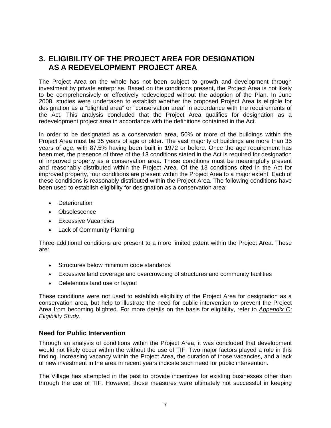### **3. ELIGIBILITY OF THE PROJECT AREA FOR DESIGNATION AS A REDEVELOPMENT PROJECT AREA**

The Project Area on the whole has not been subject to growth and development through investment by private enterprise. Based on the conditions present, the Project Area is not likely to be comprehensively or effectively redeveloped without the adoption of the Plan. In June 2008, studies were undertaken to establish whether the proposed Project Area is eligible for designation as a "blighted area" or "conservation area" in accordance with the requirements of the Act. This analysis concluded that the Project Area qualifies for designation as a redevelopment project area in accordance with the definitions contained in the Act.

In order to be designated as a conservation area, 50% or more of the buildings within the Project Area must be 35 years of age or older. The vast majority of buildings are more than 35 years of age, with 87.5% having been built in 1972 or before. Once the age requirement has been met, the presence of three of the 13 conditions stated in the Act is required for designation of improved property as a conservation area. These conditions must be meaningfully present and reasonably distributed within the Project Area. Of the 13 conditions cited in the Act for improved property, four conditions are present within the Project Area to a major extent. Each of these conditions is reasonably distributed within the Project Area. The following conditions have been used to establish eligibility for designation as a conservation area:

- Deterioration
- Obsolescence
- Excessive Vacancies
- Lack of Community Planning

Three additional conditions are present to a more limited extent within the Project Area. These are:

- Structures below minimum code standards
- Excessive land coverage and overcrowding of structures and community facilities
- Deleterious land use or layout

These conditions were not used to establish eligibility of the Project Area for designation as a conservation area, but help to illustrate the need for public intervention to prevent the Project Area from becoming blighted. For more details on the basis for eligibility, refer to *Appendix C: Eligibility Study*.

#### **Need for Public Intervention**

Through an analysis of conditions within the Project Area, it was concluded that development would not likely occur within the without the use of TIF. Two major factors played a role in this finding. Increasing vacancy within the Project Area, the duration of those vacancies, and a lack of new investment in the area in recent years indicate such need for public intervention.

The Village has attempted in the past to provide incentives for existing businesses other than through the use of TIF. However, those measures were ultimately not successful in keeping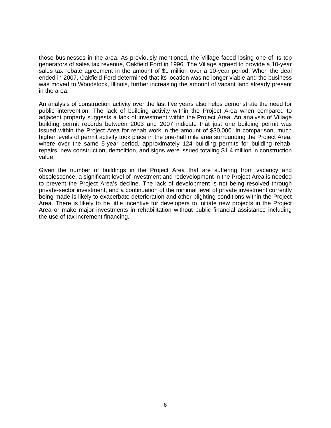those businesses in the area. As previously mentioned, the Village faced losing one of its top generators of sales tax revenue, Oakfield Ford in 1996. The Village agreed to provide a 10-year sales tax rebate agreement in the amount of \$1 million over a 10-year period. When the deal ended in 2007, Oakfield Ford determined that its location was no longer viable and the business was moved to Woodstock, Illinois, further increasing the amount of vacant land already present in the area.

An analysis of construction activity over the last five years also helps demonstrate the need for public intervention. The lack of building activity within the Project Area when compared to adjacent property suggests a lack of investment within the Project Area. An analysis of Village building permit records between 2003 and 2007 indicate that just one building permit was issued within the Project Area for rehab work in the amount of \$30,000. In comparison, much higher levels of permit activity took place in the one-half mile area surrounding the Project Area, where over the same 5-year period, approximately 124 building permits for building rehab, repairs, new construction, demolition, and signs were issued totaling \$1.4 million in construction value.

Given the number of buildings in the Project Area that are suffering from vacancy and obsolescence, a significant level of investment and redevelopment in the Project Area is needed to prevent the Project Area's decline. The lack of development is not being resolved through private-sector investment, and a continuation of the minimal level of private investment currently being made is likely to exacerbate deterioration and other blighting conditions within the Project Area. There is likely to be little incentive for developers to initiate new projects in the Project Area or make major investments in rehabilitation without public financial assistance including the use of tax increment financing.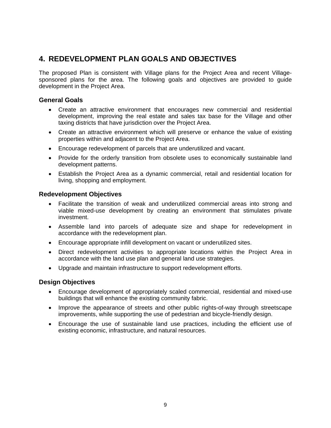## **4. REDEVELOPMENT PLAN GOALS AND OBJECTIVES**

The proposed Plan is consistent with Village plans for the Project Area and recent Villagesponsored plans for the area. The following goals and objectives are provided to guide development in the Project Area.

#### **General Goals**

- Create an attractive environment that encourages new commercial and residential development, improving the real estate and sales tax base for the Village and other taxing districts that have jurisdiction over the Project Area.
- Create an attractive environment which will preserve or enhance the value of existing properties within and adjacent to the Project Area.
- Encourage redevelopment of parcels that are underutilized and vacant.
- Provide for the orderly transition from obsolete uses to economically sustainable land development patterns.
- Establish the Project Area as a dynamic commercial, retail and residential location for living, shopping and employment.

#### **Redevelopment Objectives**

- Facilitate the transition of weak and underutilized commercial areas into strong and viable mixed-use development by creating an environment that stimulates private investment.
- Assemble land into parcels of adequate size and shape for redevelopment in accordance with the redevelopment plan.
- Encourage appropriate infill development on vacant or underutilized sites.
- Direct redevelopment activities to appropriate locations within the Project Area in accordance with the land use plan and general land use strategies.
- Upgrade and maintain infrastructure to support redevelopment efforts.

#### **Design Objectives**

- Encourage development of appropriately scaled commercial, residential and mixed-use buildings that will enhance the existing community fabric.
- Improve the appearance of streets and other public rights-of-way through streetscape improvements, while supporting the use of pedestrian and bicycle-friendly design.
- Encourage the use of sustainable land use practices, including the efficient use of existing economic, infrastructure, and natural resources.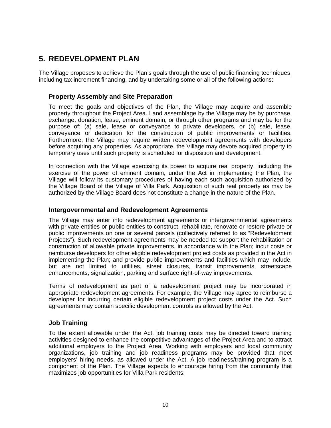### **5. REDEVELOPMENT PLAN**

The Village proposes to achieve the Plan's goals through the use of public financing techniques, including tax increment financing, and by undertaking some or all of the following actions:

#### **Property Assembly and Site Preparation**

To meet the goals and objectives of the Plan, the Village may acquire and assemble property throughout the Project Area. Land assemblage by the Village may be by purchase, exchange, donation, lease, eminent domain, or through other programs and may be for the purpose of: (a) sale, lease or conveyance to private developers, or (b) sale, lease, conveyance or dedication for the construction of public improvements or facilities. Furthermore, the Village may require written redevelopment agreements with developers before acquiring any properties. As appropriate, the Village may devote acquired property to temporary uses until such property is scheduled for disposition and development.

In connection with the Village exercising its power to acquire real property, including the exercise of the power of eminent domain, under the Act in implementing the Plan, the Village will follow its customary procedures of having each such acquisition authorized by the Village Board of the Village of Villa Park. Acquisition of such real property as may be authorized by the Village Board does not constitute a change in the nature of the Plan.

#### **Intergovernmental and Redevelopment Agreements**

The Village may enter into redevelopment agreements or intergovernmental agreements with private entities or public entities to construct, rehabilitate, renovate or restore private or public improvements on one or several parcels (collectively referred to as "Redevelopment Projects"). Such redevelopment agreements may be needed to: support the rehabilitation or construction of allowable private improvements, in accordance with the Plan; incur costs or reimburse developers for other eligible redevelopment project costs as provided in the Act in implementing the Plan; and provide public improvements and facilities which may include, but are not limited to utilities, street closures, transit improvements, streetscape enhancements, signalization, parking and surface right-of-way improvements.

Terms of redevelopment as part of a redevelopment project may be incorporated in appropriate redevelopment agreements. For example, the Village may agree to reimburse a developer for incurring certain eligible redevelopment project costs under the Act. Such agreements may contain specific development controls as allowed by the Act.

#### **Job Training**

To the extent allowable under the Act, job training costs may be directed toward training activities designed to enhance the competitive advantages of the Project Area and to attract additional employers to the Project Area. Working with employers and local community organizations, job training and job readiness programs may be provided that meet employers' hiring needs, as allowed under the Act. A job readiness/training program is a component of the Plan. The Village expects to encourage hiring from the community that maximizes job opportunities for Villa Park residents.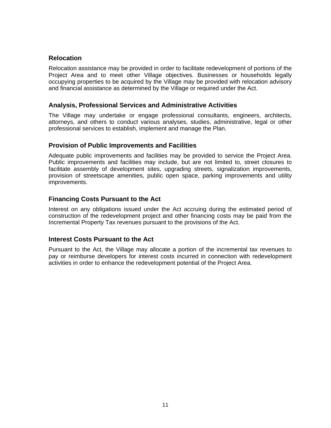#### **Relocation**

Relocation assistance may be provided in order to facilitate redevelopment of portions of the Project Area and to meet other Village objectives. Businesses or households legally occupying properties to be acquired by the Village may be provided with relocation advisory and financial assistance as determined by the Village or required under the Act.

#### **Analysis, Professional Services and Administrative Activities**

The Village may undertake or engage professional consultants, engineers, architects, attorneys, and others to conduct various analyses, studies, administrative, legal or other professional services to establish, implement and manage the Plan.

#### **Provision of Public Improvements and Facilities**

Adequate public improvements and facilities may be provided to service the Project Area. Public improvements and facilities may include, but are not limited to, street closures to facilitate assembly of development sites, upgrading streets, signalization improvements, provision of streetscape amenities, public open space, parking improvements and utility improvements.

#### **Financing Costs Pursuant to the Act**

Interest on any obligations issued under the Act accruing during the estimated period of construction of the redevelopment project and other financing costs may be paid from the Incremental Property Tax revenues pursuant to the provisions of the Act.

#### **Interest Costs Pursuant to the Act**

Pursuant to the Act, the Village may allocate a portion of the incremental tax revenues to pay or reimburse developers for interest costs incurred in connection with redevelopment activities in order to enhance the redevelopment potential of the Project Area.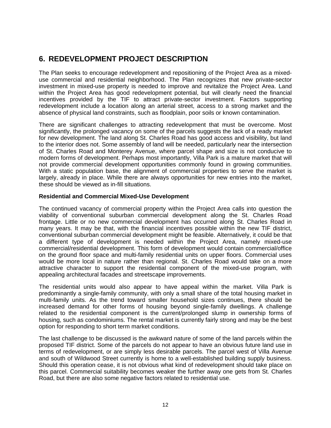# **6. REDEVELOPMENT PROJECT DESCRIPTION**

The Plan seeks to encourage redevelopment and repositioning of the Project Area as a mixeduse commercial and residential neighborhood. The Plan recognizes that new private-sector investment in mixed-use property is needed to improve and revitalize the Project Area. Land within the Project Area has good redevelopment potential, but will clearly need the financial incentives provided by the TIF to attract private-sector investment. Factors supporting redevelopment include a location along an arterial street, access to a strong market and the absence of physical land constraints, such as floodplain, poor soils or known contamination.

There are significant challenges to attracting redevelopment that must be overcome. Most significantly, the prolonged vacancy on some of the parcels suggests the lack of a ready market for new development. The land along St. Charles Road has good access and visibility, but land to the interior does not. Some assembly of land will be needed, particularly near the intersection of St. Charles Road and Monterey Avenue, where parcel shape and size is not conducive to modern forms of development. Perhaps most importantly, Villa Park is a mature market that will not provide commercial development opportunities commonly found in growing communities. With a static population base, the alignment of commercial properties to serve the market is largely, already in place. While there are always opportunities for new entries into the market, these should be viewed as in-fill situations.

#### **Residential and Commercial Mixed-Use Development**

The continued vacancy of commercial property within the Project Area calls into question the viability of conventional suburban commercial development along the St. Charles Road frontage. Little or no new commercial development has occurred along St. Charles Road in many years. It may be that, with the financial incentives possible within the new TIF district, conventional suburban commercial development might be feasible. Alternatively, it could be that a different type of development is needed within the Project Area, namely mixed-use commercial/residential development. This form of development would contain commercial/office on the ground floor space and multi-family residential units on upper floors. Commercial uses would be more local in nature rather than regional. St. Charles Road would take on a more attractive character to support the residential component of the mixed-use program, with appealing architectural facades and streetscape improvements.

The residential units would also appear to have appeal within the market. Villa Park is predominantly a single-family community, with only a small share of the total housing market in multi-family units. As the trend toward smaller household sizes continues, there should be increased demand for other forms of housing beyond single-family dwellings. A challenge related to the residential component is the current/prolonged slump in ownership forms of housing, such as condominiums. The rental market is currently fairly strong and may be the best option for responding to short term market conditions.

The last challenge to be discussed is the awkward nature of some of the land parcels within the proposed TIF district. Some of the parcels do not appear to have an obvious future land use in terms of redevelopment, or are simply less desirable parcels. The parcel west of Villa Avenue and south of Wildwood Street currently is home to a well-established building supply business. Should this operation cease, it is not obvious what kind of redevelopment should take place on this parcel. Commercial suitability becomes weaker the further away one gets from St. Charles Road, but there are also some negative factors related to residential use.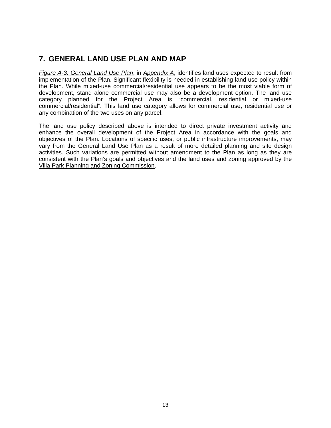# **7. GENERAL LAND USE PLAN AND MAP**

*Figure A-3: General Land Use Plan*, in *Appendix A*, identifies land uses expected to result from implementation of the Plan. Significant flexibility is needed in establishing land use policy within the Plan. While mixed-use commercial/residential use appears to be the most viable form of development, stand alone commercial use may also be a development option. The land use category planned for the Project Area is "commercial, residential or mixed-use commercial/residential". This land use category allows for commercial use, residential use or any combination of the two uses on any parcel.

The land use policy described above is intended to direct private investment activity and enhance the overall development of the Project Area in accordance with the goals and objectives of the Plan. Locations of specific uses, or public infrastructure improvements, may vary from the General Land Use Plan as a result of more detailed planning and site design activities. Such variations are permitted without amendment to the Plan as long as they are consistent with the Plan's goals and objectives and the land uses and zoning approved by the Villa Park Planning and Zoning Commission.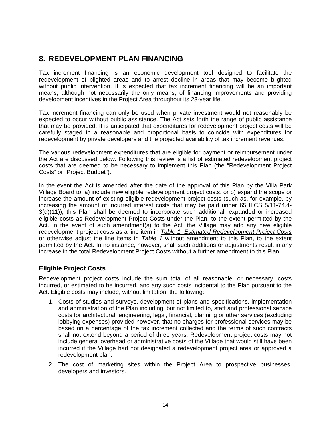### **8. REDEVELOPMENT PLAN FINANCING**

Tax increment financing is an economic development tool designed to facilitate the redevelopment of blighted areas and to arrest decline in areas that may become blighted without public intervention. It is expected that tax increment financing will be an important means, although not necessarily the only means, of financing improvements and providing development incentives in the Project Area throughout its 23-year life.

Tax increment financing can only be used when private investment would not reasonably be expected to occur without public assistance. The Act sets forth the range of public assistance that may be provided. It is anticipated that expenditures for redevelopment project costs will be carefully staged in a reasonable and proportional basis to coincide with expenditures for redevelopment by private developers and the projected availability of tax increment revenues.

The various redevelopment expenditures that are eligible for payment or reimbursement under the Act are discussed below. Following this review is a list of estimated redevelopment project costs that are deemed to be necessary to implement this Plan (the "Redevelopment Project Costs" or "Project Budget").

In the event the Act is amended after the date of the approval of this Plan by the Villa Park Village Board to: a) include new eligible redevelopment project costs, or b) expand the scope or increase the amount of existing eligible redevelopment project costs (such as, for example, by increasing the amount of incurred interest costs that may be paid under 65 ILCS 5/11-74.4- 3(q)(11)), this Plan shall be deemed to incorporate such additional, expanded or increased eligible costs as Redevelopment Project Costs under the Plan, to the extent permitted by the Act. In the event of such amendment(s) to the Act, the Village may add any new eligible redevelopment project costs as a line item in *Table 1: Estimated Redevelopment Project Costs* or otherwise adjust the line items in *Table 1* without amendment to this Plan, to the extent permitted by the Act. In no instance, however, shall such additions or adjustments result in any increase in the total Redevelopment Project Costs without a further amendment to this Plan.

#### **Eligible Project Costs**

Redevelopment project costs include the sum total of all reasonable, or necessary, costs incurred, or estimated to be incurred, and any such costs incidental to the Plan pursuant to the Act. Eligible costs may include, without limitation, the following:

- 1. Costs of studies and surveys, development of plans and specifications, implementation and administration of the Plan including, but not limited to, staff and professional service costs for architectural, engineering, legal, financial, planning or other services (excluding lobbying expenses) provided however, that no charges for professional services may be based on a percentage of the tax increment collected and the terms of such contracts shall not extend beyond a period of three years. Redevelopment project costs may not include general overhead or administrative costs of the Village that would still have been incurred if the Village had not designated a redevelopment project area or approved a redevelopment plan.
- 2. The cost of marketing sites within the Project Area to prospective businesses, developers and investors.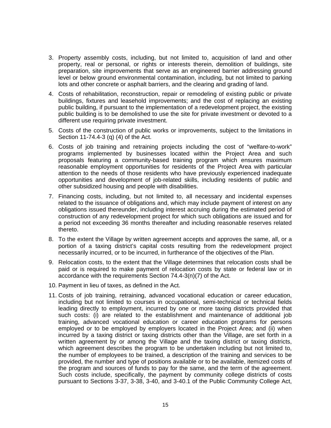- 3. Property assembly costs, including, but not limited to, acquisition of land and other property, real or personal, or rights or interests therein, demolition of buildings, site preparation, site improvements that serve as an engineered barrier addressing ground level or below ground environmental contamination, including, but not limited to parking lots and other concrete or asphalt barriers, and the clearing and grading of land.
- 4. Costs of rehabilitation, reconstruction, repair or remodeling of existing public or private buildings, fixtures and leasehold improvements; and the cost of replacing an existing public building, if pursuant to the implementation of a redevelopment project, the existing public building is to be demolished to use the site for private investment or devoted to a different use requiring private investment.
- 5. Costs of the construction of public works or improvements, subject to the limitations in Section 11-74.4-3 (q) (4) of the Act.
- 6. Costs of job training and retraining projects including the cost of "welfare-to-work" programs implemented by businesses located within the Project Area and such proposals featuring a community-based training program which ensures maximum reasonable employment opportunities for residents of the Project Area with particular attention to the needs of those residents who have previously experienced inadequate opportunities and development of job-related skills, including residents of public and other subsidized housing and people with disabilities.
- 7. Financing costs, including, but not limited to, all necessary and incidental expenses related to the issuance of obligations and, which may include payment of interest on any obligations issued thereunder, including interest accruing during the estimated period of construction of any redevelopment project for which such obligations are issued and for a period not exceeding 36 months thereafter and including reasonable reserves related thereto.
- 8. To the extent the Village by written agreement accepts and approves the same, all, or a portion of a taxing district's capital costs resulting from the redevelopment project necessarily incurred, or to be incurred, in furtherance of the objectives of the Plan.
- 9. Relocation costs, to the extent that the Village determines that relocation costs shall be paid or is required to make payment of relocation costs by state or federal law or in accordance with the requirements Section 74.4-3(n)(7) of the Act.
- 10. Payment in lieu of taxes, as defined in the Act.
- 11. Costs of job training, retraining, advanced vocational education or career education, including but not limited to courses in occupational, semi-technical or technical fields leading directly to employment, incurred by one or more taxing districts provided that such costs: (i) are related to the establishment and maintenance of additional job training, advanced vocational education or career education programs for persons employed or to be employed by employers located in the Project Area; and (ii) when incurred by a taxing district or taxing districts other than the Village, are set forth in a written agreement by or among the Village and the taxing district or taxing districts, which agreement describes the program to be undertaken including but not limited to, the number of employees to be trained, a description of the training and services to be provided, the number and type of positions available or to be available, itemized costs of the program and sources of funds to pay for the same, and the term of the agreement. Such costs include, specifically, the payment by community college districts of costs pursuant to Sections 3-37, 3-38, 3-40, and 3-40.1 of the Public Community College Act,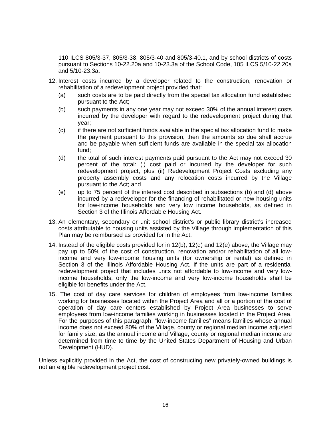110 ILCS 805/3-37, 805/3-38, 805/3-40 and 805/3-40.1, and by school districts of costs pursuant to Sections 10-22.20a and 10-23.3a of the School Code, 105 ILCS 5/10-22.20a and 5/10-23.3a.

- 12. Interest costs incurred by a developer related to the construction, renovation or rehabilitation of a redevelopment project provided that:
	- (a) such costs are to be paid directly from the special tax allocation fund established pursuant to the Act;
	- (b) such payments in any one year may not exceed 30% of the annual interest costs incurred by the developer with regard to the redevelopment project during that year;
	- (c) if there are not sufficient funds available in the special tax allocation fund to make the payment pursuant to this provision, then the amounts so due shall accrue and be payable when sufficient funds are available in the special tax allocation fund;
	- (d) the total of such interest payments paid pursuant to the Act may not exceed 30 percent of the total: (i) cost paid or incurred by the developer for such redevelopment project, plus (ii) Redevelopment Project Costs excluding any property assembly costs and any relocation costs incurred by the Village pursuant to the Act; and
	- (e) up to 75 percent of the interest cost described in subsections (b) and (d) above incurred by a redeveloper for the financing of rehabilitated or new housing units for low-income households and very low income households, as defined in Section 3 of the Illinois Affordable Housing Act.
- 13. An elementary, secondary or unit school district's or public library district's increased costs attributable to housing units assisted by the Village through implementation of this Plan may be reimbursed as provided for in the Act.
- 14. Instead of the eligible costs provided for in 12(b), 12(d) and 12(e) above, the Village may pay up to 50% of the cost of construction, renovation and/or rehabilitation of all lowincome and very low-income housing units (for ownership or rental) as defined in Section 3 of the Illinois Affordable Housing Act. If the units are part of a residential redevelopment project that includes units not affordable to low-income and very lowincome households, only the low-income and very low-income households shall be eligible for benefits under the Act.
- 15. The cost of day care services for children of employees from low-income families working for businesses located within the Project Area and all or a portion of the cost of operation of day care centers established by Project Area businesses to serve employees from low-income families working in businesses located in the Project Area. For the purposes of this paragraph, "low-income families" means families whose annual income does not exceed 80% of the Village, county or regional median income adjusted for family size, as the annual income and Village, county or regional median income are determined from time to time by the United States Department of Housing and Urban Development (HUD).

Unless explicitly provided in the Act, the cost of constructing new privately-owned buildings is not an eligible redevelopment project cost.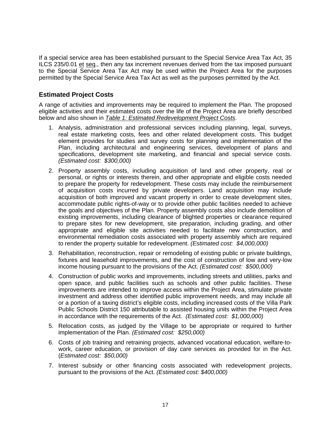If a special service area has been established pursuant to the Special Service Area Tax Act, 35 ILCS 235/0.01 et seq., then any tax increment revenues derived from the tax imposed pursuant to the Special Service Area Tax Act may be used within the Project Area for the purposes permitted by the Special Service Area Tax Act as well as the purposes permitted by the Act.

#### **Estimated Project Costs**

A range of activities and improvements may be required to implement the Plan. The proposed eligible activities and their estimated costs over the life of the Project Area are briefly described below and also shown in *Table 1: Estimated Redevelopment Project Costs*.

- 1. Analysis, administration and professional services including planning, legal, surveys, real estate marketing costs, fees and other related development costs. This budget element provides for studies and survey costs for planning and implementation of the Plan, including architectural and engineering services, development of plans and specifications, development site marketing, and financial and special service costs. *(Estimated cost: \$300,000)*
- 2. Property assembly costs, including acquisition of land and other property, real or personal, or rights or interests therein, and other appropriate and eligible costs needed to prepare the property for redevelopment. These costs may include the reimbursement of acquisition costs incurred by private developers. Land acquisition may include acquisition of both improved and vacant property in order to create development sites, accommodate public rights-of-way or to provide other public facilities needed to achieve the goals and objectives of the Plan. Property assembly costs also include demolition of existing improvements, including clearance of blighted properties or clearance required to prepare sites for new development, site preparation, including grading, and other appropriate and eligible site activities needed to facilitate new construction, and environmental remediation costs associated with property assembly which are required to render the property suitable for redevelopment. *(Estimated cost: \$4,000,000)*
- 3. Rehabilitation, reconstruction, repair or remodeling of existing public or private buildings, fixtures and leasehold improvements, and the cost of construction of low and very-low income housing pursuant to the provisions of the Act. *(Estimated cost: \$500,000)*
- 4. Construction of public works and improvements, including streets and utilities, parks and open space, and public facilities such as schools and other public facilities. These improvements are intended to improve access within the Project Area, stimulate private investment and address other identified public improvement needs, and may include all or a portion of a taxing district's eligible costs, including increased costs of the Villa Park Public Schools District 150 attributable to assisted housing units within the Project Area in accordance with the requirements of the Act. *(Estimated cost: \$1,000,000)*
- 5. Relocation costs, as judged by the Village to be appropriate or required to further implementation of the Plan. *(Estimated cost: \$250,000)*
- 6. Costs of job training and retraining projects, advanced vocational education, welfare-towork, career education, or provision of day care services as provided for in the Act. (*Estimated cost: \$50,000)*
- 7. Interest subsidy or other financing costs associated with redevelopment projects, pursuant to the provisions of the Act. *(Estimated cost: \$400,000)*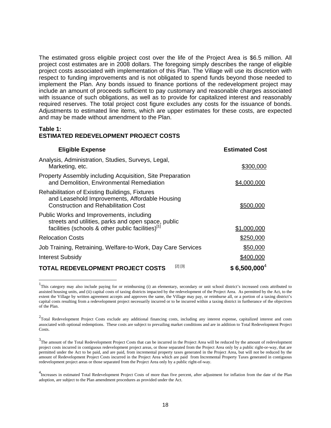The estimated gross eligible project cost over the life of the Project Area is \$6.5 million. All project cost estimates are in 2008 dollars. The foregoing simply describes the range of eligible project costs associated with implementation of this Plan. The Village will use its discretion with respect to funding improvements and is not obligated to spend funds beyond those needed to implement the Plan. Any bonds issued to finance portions of the redevelopment project may include an amount of proceeds sufficient to pay customary and reasonable charges associated with issuance of such obligations, as well as to provide for capitalized interest and reasonably required reserves. The total project cost figure excludes any costs for the issuance of bonds. Adjustments to estimated line items, which are upper estimates for these costs, are expected and may be made without amendment to the Plan.

#### **Table 1: ESTIMATED REDEVELOPMENT PROJECT COSTS**

l

| <b>Eligible Expense</b>                                                                                                                                          | <b>Estimated Cost</b> |
|------------------------------------------------------------------------------------------------------------------------------------------------------------------|-----------------------|
| Analysis, Administration, Studies, Surveys, Legal,<br>Marketing, etc.                                                                                            | \$300,000             |
| Property Assembly including Acquisition, Site Preparation<br>and Demolition, Environmental Remediation                                                           | \$4,000,000           |
| <b>Rehabilitation of Existing Buildings, Fixtures</b><br>and Leasehold Improvements, Affordable Housing<br><b>Construction and Rehabilitation Cost</b>           | \$500.000             |
| Public Works and Improvements, including<br>streets and utilities, parks and open space, public<br>facilities (schools & other public facilities) <sup>[1]</sup> | \$1,000,000           |
| <b>Relocation Costs</b>                                                                                                                                          | \$250,000             |
| Job Training, Retraining, Welfare-to-Work, Day Care Services                                                                                                     | \$50,000              |
| <b>Interest Subsidy</b>                                                                                                                                          | \$400,000             |
| [2] [3]<br><b>TOTAL REDEVELOPMENT PROJECT COSTS</b>                                                                                                              | $$6,500,000^4$        |

<sup>&</sup>lt;sup>1</sup>This category may also include paying for or reimbursing (i) an elementary, secondary or unit school district's increased costs attributed to assisted housing units, and (ii) capital costs of taxing districts impacted by the redevelopment of the Project Area. As permitted by the Act, to the extent the Village by written agreement accepts and approves the same, the Village may pay, or reimburse all, or a portion of a taxing district's capital costs resulting from a redevelopment project necessarily incurred or to be incurred within a taxing district in furtherance of the objectives of the Plan.

 $2$ Total Redevelopment Project Costs exclude any additional financing costs, including any interest expense, capitalized interest and costs associated with optional redemptions. These costs are subject to prevailing market conditions and are in addition to Total Redevelopment Project Costs.

<sup>&</sup>lt;sup>3</sup>The amount of the Total Redevelopment Project Costs that can be incurred in the Project Area will be reduced by the amount of redevelopment project costs incurred in contiguous redevelopment project areas, or those separated from the Project Area only by a public right-or-way, that are permitted under the Act to be paid, and are paid, from incremental property taxes generated in the Project Area, but will not be reduced by the amount of Redevelopment Project Costs incurred in the Project Area which are paid from Incremental Property Taxes generated in contiguous redevelopment project areas or those separated from the Project Area only by a public right-of-way.

<sup>&</sup>lt;sup>4</sup><br>Increases in estimated Total Redevelopment Project Costs of more than five percent, after adjustment for inflation from the date of the Plan adoption, are subject to the Plan amendment procedures as provided under the Act.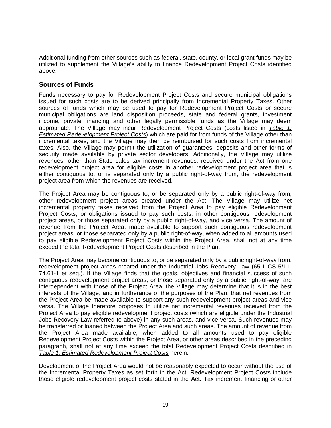Additional funding from other sources such as federal, state, county, or local grant funds may be utilized to supplement the Village's ability to finance Redevelopment Project Costs identified above.

#### **Sources of Funds**

Funds necessary to pay for Redevelopment Project Costs and secure municipal obligations issued for such costs are to be derived principally from Incremental Property Taxes. Other sources of funds which may be used to pay for Redevelopment Project Costs or secure municipal obligations are land disposition proceeds, state and federal grants, investment income, private financing and other legally permissible funds as the Village may deem appropriate. The Village may incur Redevelopment Project Costs (costs listed in *Table 1: Estimated Redevelopment Project Costs*) which are paid for from funds of the Village other than incremental taxes, and the Village may then be reimbursed for such costs from incremental taxes. Also, the Village may permit the utilization of guarantees, deposits and other forms of security made available by private sector developers. Additionally, the Village may utilize revenues, other than State sales tax increment revenues, received under the Act from one redevelopment project area for eligible costs in another redevelopment project area that is either contiguous to, or is separated only by a public right-of-way from, the redevelopment project area from which the revenues are received.

The Project Area may be contiguous to, or be separated only by a public right-of-way from, other redevelopment project areas created under the Act. The Village may utilize net incremental property taxes received from the Project Area to pay eligible Redevelopment Project Costs, or obligations issued to pay such costs, in other contiguous redevelopment project areas, or those separated only by a public right-of-way, and vice versa. The amount of revenue from the Project Area, made available to support such contiguous redevelopment project areas, or those separated only by a public right-of-way, when added to all amounts used to pay eligible Redevelopment Project Costs within the Project Area, shall not at any time exceed the total Redevelopment Project Costs described in the Plan.

The Project Area may become contiguous to, or be separated only by a public right-of-way from, redevelopment project areas created under the Industrial Jobs Recovery Law (65 ILCS 5/11- 74.61-1 et seq.). If the Village finds that the goals, objectives and financial success of such contiguous redevelopment project areas, or those separated only by a public right-of-way, are interdependent with those of the Project Area, the Village may determine that it is in the best interests of the Village, and in furtherance of the purposes of the Plan, that net revenues from the Project Area be made available to support any such redevelopment project areas and vice versa. The Village therefore proposes to utilize net incremental revenues received from the Project Area to pay eligible redevelopment project costs (which are eligible under the Industrial Jobs Recovery Law referred to above) in any such areas, and vice versa. Such revenues may be transferred or loaned between the Project Area and such areas. The amount of revenue from the Project Area made available, when added to all amounts used to pay eligible Redevelopment Project Costs within the Project Area, or other areas described in the preceding paragraph, shall not at any time exceed the total Redevelopment Project Costs described in *Table 1: Estimated Redevelopment Project Costs* herein.

Development of the Project Area would not be reasonably expected to occur without the use of the Incremental Property Taxes as set forth in the Act. Redevelopment Project Costs include those eligible redevelopment project costs stated in the Act. Tax increment financing or other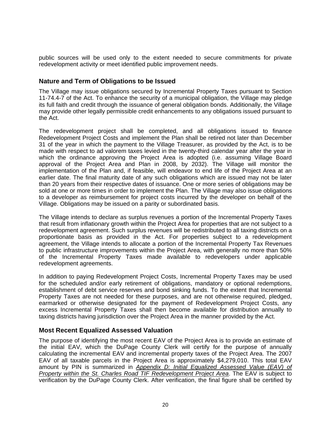public sources will be used only to the extent needed to secure commitments for private redevelopment activity or meet identified public improvement needs.

#### **Nature and Term of Obligations to be Issued**

The Village may issue obligations secured by Incremental Property Taxes pursuant to Section 11-74.4-7 of the Act. To enhance the security of a municipal obligation, the Village may pledge its full faith and credit through the issuance of general obligation bonds. Additionally, the Village may provide other legally permissible credit enhancements to any obligations issued pursuant to the Act.

The redevelopment project shall be completed, and all obligations issued to finance Redevelopment Project Costs and implement the Plan shall be retired not later than December 31 of the year in which the payment to the Village Treasurer, as provided by the Act, is to be made with respect to ad valorem taxes levied in the twenty-third calendar year after the year in which the ordinance approving the Project Area is adopted (i.e. assuming Village Board approval of the Project Area and Plan in 2008, by 2032). The Village will monitor the implementation of the Plan and, if feasible, will endeavor to end life of the Project Area at an earlier date. The final maturity date of any such obligations which are issued may not be later than 20 years from their respective dates of issuance. One or more series of obligations may be sold at one or more times in order to implement the Plan. The Village may also issue obligations to a developer as reimbursement for project costs incurred by the developer on behalf of the Village. Obligations may be issued on a parity or subordinated basis.

The Village intends to declare as surplus revenues a portion of the Incremental Property Taxes that result from inflationary growth within the Project Area for properties that are not subject to a redevelopment agreement. Such surplus revenues will be redistributed to all taxing districts on a proportionate basis as provided in the Act. For properties subject to a redevelopment agreement, the Village intends to allocate a portion of the Incremental Property Tax Revenues to public infrastructure improvements within the Project Area, with generally no more than 50% of the Incremental Property Taxes made available to redevelopers under applicable redevelopment agreements.

In addition to paying Redevelopment Project Costs, Incremental Property Taxes may be used for the scheduled and/or early retirement of obligations, mandatory or optional redemptions, establishment of debt service reserves and bond sinking funds. To the extent that Incremental Property Taxes are not needed for these purposes, and are not otherwise required, pledged, earmarked or otherwise designated for the payment of Redevelopment Project Costs, any excess Incremental Property Taxes shall then become available for distribution annually to taxing districts having jurisdiction over the Project Area in the manner provided by the Act.

#### **Most Recent Equalized Assessed Valuation**

The purpose of identifying the most recent EAV of the Project Area is to provide an estimate of the initial EAV, which the DuPage County Clerk will certify for the purpose of annually calculating the incremental EAV and incremental property taxes of the Project Area. The 2007 EAV of all taxable parcels in the Project Area is approximately \$4,279,010. This total EAV amount by PIN is summarized in *Appendix D: Initial Equalized Assessed Value (EAV) of Property within the St. Charles Road TIF Redevelopment Project Area*. The EAV is subject to verification by the DuPage County Clerk. After verification, the final figure shall be certified by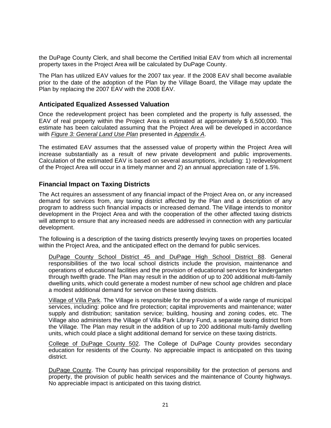the DuPage County Clerk, and shall become the Certified Initial EAV from which all incremental property taxes in the Project Area will be calculated by DuPage County.

The Plan has utilized EAV values for the 2007 tax year. If the 2008 EAV shall become available prior to the date of the adoption of the Plan by the Village Board, the Village may update the Plan by replacing the 2007 EAV with the 2008 EAV.

#### **Anticipated Equalized Assessed Valuation**

Once the redevelopment project has been completed and the property is fully assessed, the EAV of real property within the Project Area is estimated at approximately \$ 6,500,000. This estimate has been calculated assuming that the Project Area will be developed in accordance with *Figure 3: General Land Use Plan* presented in *Appendix A*.

The estimated EAV assumes that the assessed value of property within the Project Area will increase substantially as a result of new private development and public improvements. Calculation of the estimated EAV is based on several assumptions, including: 1) redevelopment of the Project Area will occur in a timely manner and 2) an annual appreciation rate of 1.5%.

#### **Financial Impact on Taxing Districts**

The Act requires an assessment of any financial impact of the Project Area on, or any increased demand for services from, any taxing district affected by the Plan and a description of any program to address such financial impacts or increased demand. The Village intends to monitor development in the Project Area and with the cooperation of the other affected taxing districts will attempt to ensure that any increased needs are addressed in connection with any particular development.

The following is a description of the taxing districts presently levying taxes on properties located within the Project Area, and the anticipated effect on the demand for public services.

DuPage County School District 45 and DuPage High School District 88. General responsibilities of the two local school districts include the provision, maintenance and operations of educational facilities and the provision of educational services for kindergarten through twelfth grade. The Plan may result in the addition of up to 200 additional multi-family dwelling units, which could generate a modest number of new school age children and place a modest additional demand for service on these taxing districts.

Village of Villa Park. The Village is responsible for the provision of a wide range of municipal services, including: police and fire protection; capital improvements and maintenance; water supply and distribution; sanitation service; building, housing and zoning codes, etc. The Village also administers the Village of Villa Park Library Fund, a separate taxing district from the Village. The Plan may result in the addition of up to 200 additional multi-family dwelling units, which could place a slight additional demand for service on these taxing districts.

College of DuPage County 502. The College of DuPage County provides secondary education for residents of the County. No appreciable impact is anticipated on this taxing district.

DuPage County. The County has principal responsibility for the protection of persons and property, the provision of public health services and the maintenance of County highways. No appreciable impact is anticipated on this taxing district.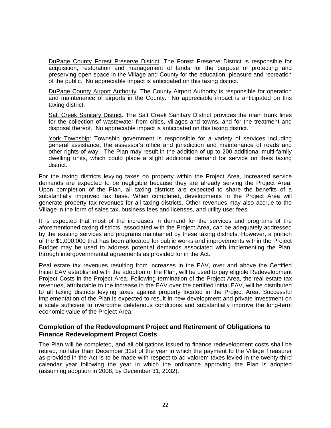DuPage County Forest Preserve District. The Forest Preserve District is responsible for acquisition, restoration and management of lands for the purpose of protecting and preserving open space in the Village and County for the education, pleasure and recreation of the public. No appreciable impact is anticipated on this taxing district.

DuPage County Airport Authority. The County Airport Authority is responsible for operation and maintenance of airports in the County. No appreciable impact is anticipated on this taxing district.

Salt Creek Sanitary District. The Salt Creek Sanitary District provides the main trunk lines for the collection of wastewater from cities, villages and towns, and for the treatment and disposal thereof. No appreciable impact is anticipated on this taxing district.

York Township: Township government is responsible for a variety of services including general assistance, the assessor's office and jurisdiction and maintenance of roads and other rights-of-way. The Plan may result in the addition of up to 200 additional multi-family dwelling units, which could place a slight additional demand for service on theis taxing district.

For the taxing districts levying taxes on property within the Project Area, increased service demands are expected to be negligible because they are already serving the Project Area. Upon completion of the Plan, all taxing districts are expected to share the benefits of a substantially improved tax base. When completed, developments in the Project Area will generate property tax revenues for all taxing districts. Other revenues may also accrue to the Village in the form of sales tax, business fees and licenses, and utility user fees.

It is expected that most of the increases in demand for the services and programs of the aforementioned taxing districts, associated with the Project Area, can be adequately addressed by the existing services and programs maintained by these taxing districts. However, a portion of the \$1,000,000 that has been allocated for public works and improvements within the Project Budget may be used to address potential demands associated with implementing the Plan, through intergovernmental agreements as provided for in the Act.

Real estate tax revenues resulting from increases in the EAV, over and above the Certified Initial EAV established with the adoption of the Plan, will be used to pay eligible Redevelopment Project Costs in the Project Area. Following termination of the Project Area, the real estate tax revenues, attributable to the increase in the EAV over the certified initial EAV, will be distributed to all taxing districts levying taxes against property located in the Project Area. Successful implementation of the Plan is expected to result in new development and private investment on a scale sufficient to overcome deleterious conditions and substantially improve the long-term economic value of the Project Area.

#### **Completion of the Redevelopment Project and Retirement of Obligations to Finance Redevelopment Project Costs**

The Plan will be completed, and all obligations issued to finance redevelopment costs shall be retired, no later than December 31st of the year in which the payment to the Village Treasurer as provided in the Act is to be made with respect to ad valorem taxes levied in the twenty-third calendar year following the year in which the ordinance approving the Plan is adopted (assuming adoption in 2008, by December 31, 2032).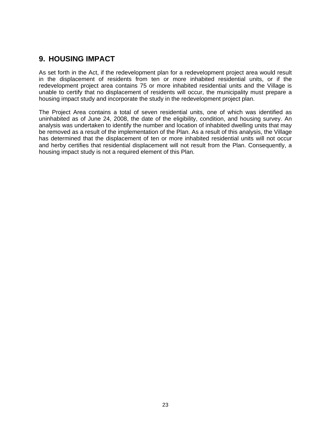### **9. HOUSING IMPACT**

As set forth in the Act, if the redevelopment plan for a redevelopment project area would result in the displacement of residents from ten or more inhabited residential units, or if the redevelopment project area contains 75 or more inhabited residential units and the Village is unable to certify that no displacement of residents will occur, the municipality must prepare a housing impact study and incorporate the study in the redevelopment project plan.

The Project Area contains a total of seven residential units, one of which was identified as uninhabited as of June 24, 2008, the date of the eligibility, condition, and housing survey. An analysis was undertaken to identify the number and location of inhabited dwelling units that may be removed as a result of the implementation of the Plan. As a result of this analysis, the Village has determined that the displacement of ten or more inhabited residential units will not occur and herby certifies that residential displacement will not result from the Plan. Consequently, a housing impact study is not a required element of this Plan.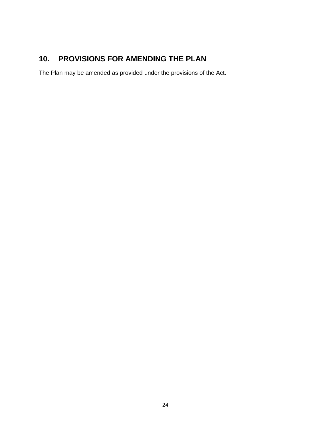# **10. PROVISIONS FOR AMENDING THE PLAN**

The Plan may be amended as provided under the provisions of the Act.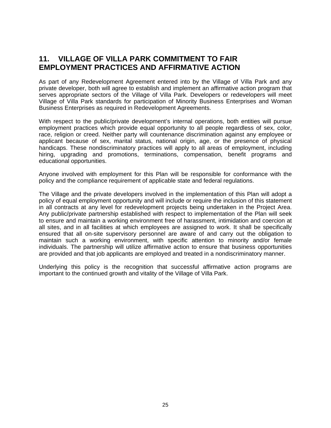### **11. VILLAGE OF VILLA PARK COMMITMENT TO FAIR EMPLOYMENT PRACTICES AND AFFIRMATIVE ACTION**

As part of any Redevelopment Agreement entered into by the Village of Villa Park and any private developer, both will agree to establish and implement an affirmative action program that serves appropriate sectors of the Village of Villa Park. Developers or redevelopers will meet Village of Villa Park standards for participation of Minority Business Enterprises and Woman Business Enterprises as required in Redevelopment Agreements.

With respect to the public/private development's internal operations, both entities will pursue employment practices which provide equal opportunity to all people regardless of sex, color, race, religion or creed. Neither party will countenance discrimination against any employee or applicant because of sex, marital status, national origin, age, or the presence of physical handicaps. These nondiscriminatory practices will apply to all areas of employment, including hiring, upgrading and promotions, terminations, compensation, benefit programs and educational opportunities.

Anyone involved with employment for this Plan will be responsible for conformance with the policy and the compliance requirement of applicable state and federal regulations.

The Village and the private developers involved in the implementation of this Plan will adopt a policy of equal employment opportunity and will include or require the inclusion of this statement in all contracts at any level for redevelopment projects being undertaken in the Project Area. Any public/private partnership established with respect to implementation of the Plan will seek to ensure and maintain a working environment free of harassment, intimidation and coercion at all sites, and in all facilities at which employees are assigned to work. It shall be specifically ensured that all on-site supervisory personnel are aware of and carry out the obligation to maintain such a working environment, with specific attention to minority and/or female individuals. The partnership will utilize affirmative action to ensure that business opportunities are provided and that job applicants are employed and treated in a nondiscriminatory manner.

Underlying this policy is the recognition that successful affirmative action programs are important to the continued growth and vitality of the Village of Villa Park.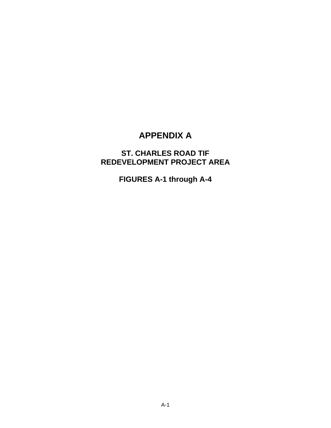# **APPENDIX A**

# **ST. CHARLES ROAD TIF REDEVELOPMENT PROJECT AREA**

**FIGURES A-1 through A-4**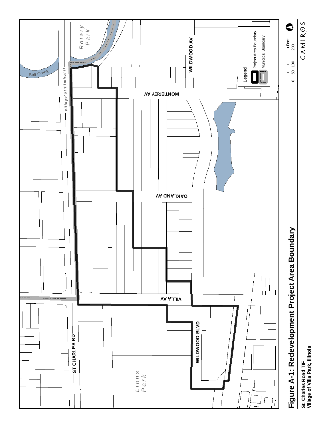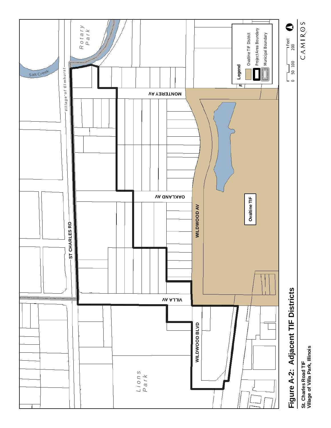

CAMIROS

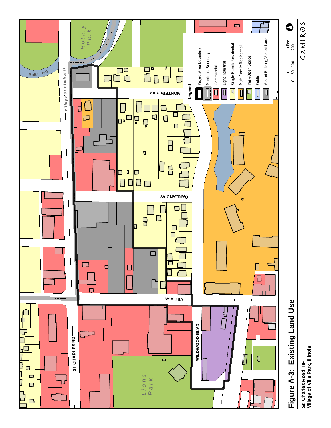

St. Charles Road TIF<br>Village of Villa Park, Illinois **Village of Villa Park, Illinois St. Charles Road TIF**

CAMIROS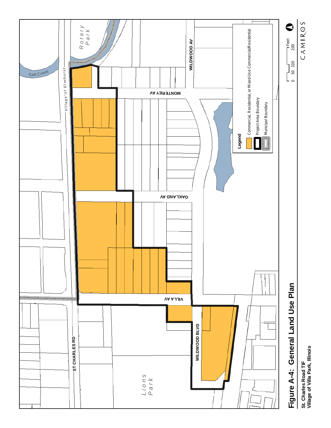

St. Charles Road TIF<br>Village of Villa Park, Illinois **Village of Villa Park, Illinois St. Charles Road TIF**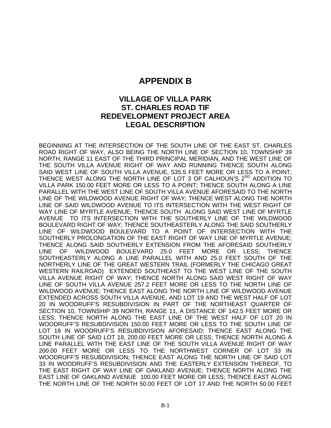### **APPENDIX B**

### **VILLAGE OF VILLA PARK ST. CHARLES ROAD TIF REDEVELOPMENT PROJECT AREA LEGAL DESCRIPTION**

BEGINNING AT THE INTERSECTION OF THE SOUTH LINE OF THE EAST ST. CHARLES ROAD RIGHT OF WAY, ALSO BEING THE NORTH LINE OF SECTION 10, TOWNSHIP 39 NORTH, RANGE 11 EAST OF THE THIRD PRINCIPAL MERIDIAN, AND THE WEST LINE OF THE SOUTH VILLA AVENUE RIGHT OF WAY AND RUNNING THENCE SOUTH ALONG SAID WEST LINE OF SOUTH VILLA AVENUE, 535.5 FEET MORE OR LESS TO A POINT; THENCE WEST ALONG THE NORTH LINE OF LOT 3 OF CALHOUN'S 2<sup>ND</sup> ADDITION TO VILLA PARK 150.00 FEET MORE OR LESS TO A POINT; THENCE SOUTH ALONG A LINE PARALLEL WITH THE WEST LINE OF SOUTH VILLA AVENUE AFORESAID TO THE NORTH LINE OF THE WILDWOOD AVENUE RIGHT OF WAY; THENCE WEST ALONG THE NORTH LINE OF SAID WILDWOOD AVENUE TO ITS INTERSECTION WITH THE WEST RIGHT OF WAY LINE OF MYRTLE AVENUE; THENCE SOUTH ALONG SAID WEST LINE OF MYRTLE AVENUE TO ITS INTERSECTION WITH THE SOUTHERLY LINE OF THE WILDWOOD BOULEVARD RIGHT OF WAY; THENCE SOUTHEASTERLY ALONG THE SAID SOUTHERLY LINE OF WILDWOOD BOULEVARD TO A POINT OF INTERSECTION WITH THE SOUTHERLY PROLONGATION OF THE EAST RIGHT OF WAY LINE OF MYRTLE AVENUE; THENCE ALONG SAID SOUTHERLY EXTENSION FROM THE AFORESAID SOUTHERLY LINE OF WILDWOOD BOULEVARD 25.0 FEET MORE OR LESS; THENCE SOUTHEASTERLY ALONG A LINE PARALLEL WITH AND 25.0 FEET SOUTH OF THE NORTHERLY LINE OF THE GREAT WESTERN TRAIL (FORMERLY THE CHICAGO GREAT WESTERN RAILROAD) EXTENDED SOUTHEAST TO THE WEST LINE OF THE SOUTH VILLA AVENUE RIGHT OF WAY; THENCE NORTH ALONG SAID WEST RIGHT OF WAY LINE OF SOUTH VILLA AVENUE 257.2 FEET MORE OR LESS TO THE NORTH LINE OF WILDWOOD AVENUE; THENCE EAST ALONG THE NORTH LINE OF WILDWOOD AVENUE EXTENDED ACROSS SOUTH VILLA AVENUE, AND LOT 19 AND THE WEST HALF OF LOT 20 IN WOODRUFF'S RESUBDIVISION IN PART OF THE NORTHEAST QUARTER OF SECTION 10, TOWNSHIP 39 NORTH, RANGE 11, A DISTANCE OF 142.5 FEET MORE OR LESS; THENCE NORTH ALONG THE EAST LINE OF THE WEST HALF OF LOT 20 IN WOODRUFF'S RESUBDIVISION 150.00 FEET MORE OR LESS TO THE SOUTH LINE OF LOT 18 IN WOODRUFF'S RESUBDIVISION AFORESAID; THENCE EAST ALONG THE SOUTH LINE OF SAID LOT 18, 200.00 FEET MORE OR LESS; THENCE NORTH ALONG A LINE PARALLEL WITH THE EAST LINE OF THE SOUTH VILLA AVENUE RIGHT OF WAY 200.00 FEET MORE OR LESS TO THE NORTHWEST CORNER OF LOT 33 IN WOODRUFF'S RESUBDIVISION; THENCE EAST ALONG THE NORTH LINE OF SAID LOT 33 IN WOODRUFF'S RESUBDIVISION AND THE EASTERLY EXTENSION THEREOF, TO THE EAST RIGHT OF WAY LINE OF OAKLAND AVENUE; THENCE NORTH ALONG THE EAST LINE OF OAKLAND AVENUE 100.00 FEET MORE OR LESS; THENCE EAST ALONG THE NORTH LINE OF THE NORTH 50.00 FEET OF LOT 17 AND THE NORTH 50.00 FEET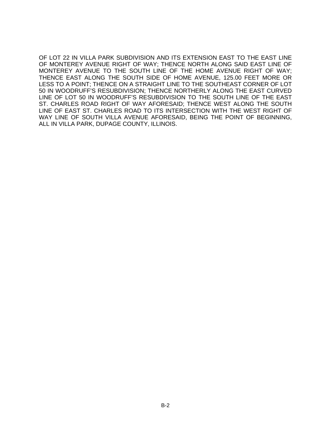OF LOT 22 IN VILLA PARK SUBDIVISION AND ITS EXTENSION EAST TO THE EAST LINE OF MONTEREY AVENUE RIGHT OF WAY; THENCE NORTH ALONG SAID EAST LINE OF MONTEREY AVENUE TO THE SOUTH LINE OF THE HOME AVENUE RIGHT OF WAY; THENCE EAST ALONG THE SOUTH SIDE OF HOME AVENUE, 125.00 FEET MORE OR LESS TO A POINT; THENCE ON A STRAIGHT LINE TO THE SOUTHEAST CORNER OF LOT 50 IN WOODRUFF'S RESUBDIVISION; THENCE NORTHERLY ALONG THE EAST CURVED LINE OF LOT 50 IN WOODRUFF'S RESUBDIVISION TO THE SOUTH LINE OF THE EAST ST. CHARLES ROAD RIGHT OF WAY AFORESAID; THENCE WEST ALONG THE SOUTH LINE OF EAST ST. CHARLES ROAD TO ITS INTERSECTION WITH THE WEST RIGHT OF WAY LINE OF SOUTH VILLA AVENUE AFORESAID, BEING THE POINT OF BEGINNING, ALL IN VILLA PARK, DUPAGE COUNTY, ILLINOIS.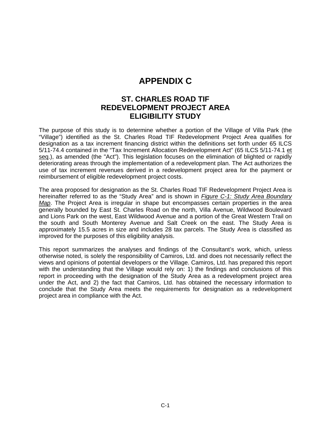# **APPENDIX C**

### **ST. CHARLES ROAD TIF REDEVELOPMENT PROJECT AREA ELIGIBILITY STUDY**

The purpose of this study is to determine whether a portion of the Village of Villa Park (the "Village") identified as the St. Charles Road TIF Redevelopment Project Area qualifies for designation as a tax increment financing district within the definitions set forth under 65 ILCS 5/11-74.4 contained in the "Tax Increment Allocation Redevelopment Act" (65 ILCS 5/11-74.1 et seq.), as amended (the "Act"). This legislation focuses on the elimination of blighted or rapidly deteriorating areas through the implementation of a redevelopment plan. The Act authorizes the use of tax increment revenues derived in a redevelopment project area for the payment or reimbursement of eligible redevelopment project costs.

The area proposed for designation as the St. Charles Road TIF Redevelopment Project Area is hereinafter referred to as the "Study Area" and is shown in *Figure C-1: Study Area Boundary Map*. The Project Area is irregular in shape but encompasses certain properties in the area generally bounded by East St. Charles Road on the north, Villa Avenue, Wildwood Boulevard and Lions Park on the west, East Wildwood Avenue and a portion of the Great Western Trail on the south and South Monterey Avenue and Salt Creek on the east. The Study Area is approximately 15.5 acres in size and includes 28 tax parcels. The Study Area is classified as improved for the purposes of this eligibility analysis.

This report summarizes the analyses and findings of the Consultant's work, which, unless otherwise noted, is solely the responsibility of Camiros, Ltd. and does not necessarily reflect the views and opinions of potential developers or the Village. Camiros, Ltd. has prepared this report with the understanding that the Village would rely on: 1) the findings and conclusions of this report in proceeding with the designation of the Study Area as a redevelopment project area under the Act, and 2) the fact that Camiros, Ltd. has obtained the necessary information to conclude that the Study Area meets the requirements for designation as a redevelopment project area in compliance with the Act.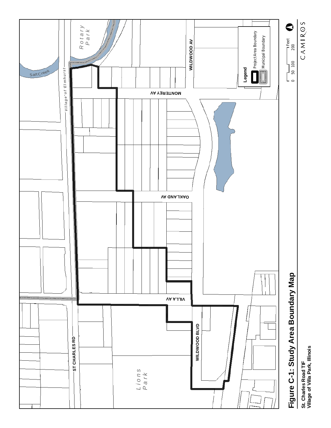

CAMIROS



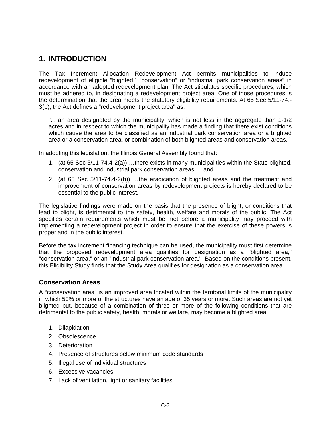### **1. INTRODUCTION**

The Tax Increment Allocation Redevelopment Act permits municipalities to induce redevelopment of eligible "blighted," "conservation" or "industrial park conservation areas" in accordance with an adopted redevelopment plan. The Act stipulates specific procedures, which must be adhered to, in designating a redevelopment project area. One of those procedures is the determination that the area meets the statutory eligibility requirements. At 65 Sec 5/11-74.- 3(p), the Act defines a "redevelopment project area" as:

"... an area designated by the municipality, which is not less in the aggregate than 1-1/2 acres and in respect to which the municipality has made a finding that there exist conditions which cause the area to be classified as an industrial park conservation area or a blighted area or a conservation area, or combination of both blighted areas and conservation areas."

In adopting this legislation, the Illinois General Assembly found that:

- 1. (at 65 Sec 5/11-74.4-2(a)) …there exists in many municipalities within the State blighted, conservation and industrial park conservation areas…; and
- 2. (at 65 Sec 5/11-74.4-2(b)) …the eradication of blighted areas and the treatment and improvement of conservation areas by redevelopment projects is hereby declared to be essential to the public interest.

The legislative findings were made on the basis that the presence of blight, or conditions that lead to blight, is detrimental to the safety, health, welfare and morals of the public. The Act specifies certain requirements which must be met before a municipality may proceed with implementing a redevelopment project in order to ensure that the exercise of these powers is proper and in the public interest.

Before the tax increment financing technique can be used, the municipality must first determine that the proposed redevelopment area qualifies for designation as a "blighted area," "conservation area," or an "industrial park conservation area." Based on the conditions present, this Eligibility Study finds that the Study Area qualifies for designation as a conservation area.

#### **Conservation Areas**

A "conservation area" is an improved area located within the territorial limits of the municipality in which 50% or more of the structures have an age of 35 years or more. Such areas are not yet blighted but, because of a combination of three or more of the following conditions that are detrimental to the public safety, health, morals or welfare, may become a blighted area:

- 1. Dilapidation
- 2. Obsolescence
- 3. Deterioration
- 4. Presence of structures below minimum code standards
- 5. Illegal use of individual structures
- 6. Excessive vacancies
- 7. Lack of ventilation, light or sanitary facilities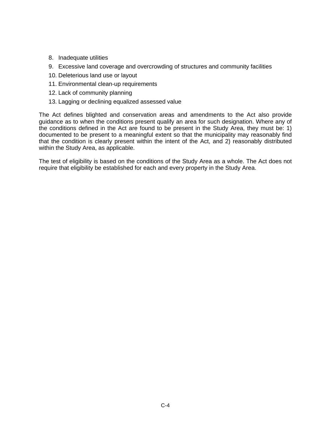- 8. Inadequate utilities
- 9. Excessive land coverage and overcrowding of structures and community facilities
- 10. Deleterious land use or layout
- 11. Environmental clean-up requirements
- 12. Lack of community planning
- 13. Lagging or declining equalized assessed value

The Act defines blighted and conservation areas and amendments to the Act also provide guidance as to when the conditions present qualify an area for such designation. Where any of the conditions defined in the Act are found to be present in the Study Area, they must be: 1) documented to be present to a meaningful extent so that the municipality may reasonably find that the condition is clearly present within the intent of the Act, and 2) reasonably distributed within the Study Area, as applicable.

The test of eligibility is based on the conditions of the Study Area as a whole. The Act does not require that eligibility be established for each and every property in the Study Area.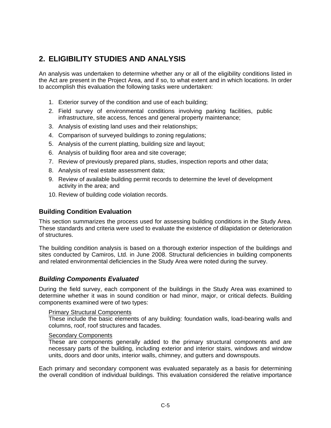### **2. ELIGIBILITY STUDIES AND ANALYSIS**

An analysis was undertaken to determine whether any or all of the eligibility conditions listed in the Act are present in the Project Area, and if so, to what extent and in which locations. In order to accomplish this evaluation the following tasks were undertaken:

- 1. Exterior survey of the condition and use of each building;
- 2. Field survey of environmental conditions involving parking facilities, public infrastructure, site access, fences and general property maintenance;
- 3. Analysis of existing land uses and their relationships;
- 4. Comparison of surveyed buildings to zoning regulations;
- 5. Analysis of the current platting, building size and layout;
- 6. Analysis of building floor area and site coverage;
- 7. Review of previously prepared plans, studies, inspection reports and other data;
- 8. Analysis of real estate assessment data;
- 9. Review of available building permit records to determine the level of development activity in the area; and
- 10. Review of building code violation records.

#### **Building Condition Evaluation**

This section summarizes the process used for assessing building conditions in the Study Area. These standards and criteria were used to evaluate the existence of dilapidation or deterioration of structures.

The building condition analysis is based on a thorough exterior inspection of the buildings and sites conducted by Camiros, Ltd. in June 2008. Structural deficiencies in building components and related environmental deficiencies in the Study Area were noted during the survey.

#### *Building Components Evaluated*

During the field survey, each component of the buildings in the Study Area was examined to determine whether it was in sound condition or had minor, major, or critical defects. Building components examined were of two types:

#### Primary Structural Components

 These include the basic elements of any building: foundation walls, load-bearing walls and columns, roof, roof structures and facades.

#### Secondary Components

 These are components generally added to the primary structural components and are necessary parts of the building, including exterior and interior stairs, windows and window units, doors and door units, interior walls, chimney, and gutters and downspouts.

Each primary and secondary component was evaluated separately as a basis for determining the overall condition of individual buildings. This evaluation considered the relative importance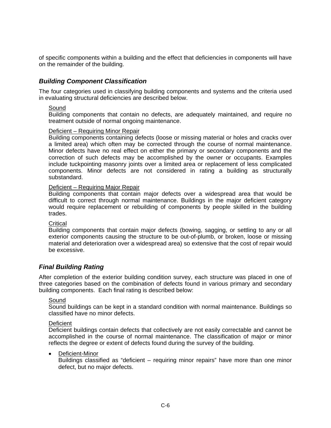of specific components within a building and the effect that deficiencies in components will have on the remainder of the building.

#### *Building Component Classification*

The four categories used in classifying building components and systems and the criteria used in evaluating structural deficiencies are described below.

#### Sound

Building components that contain no defects, are adequately maintained, and require no treatment outside of normal ongoing maintenance.

#### Deficient – Requiring Minor Repair

Building components containing defects (loose or missing material or holes and cracks over a limited area) which often may be corrected through the course of normal maintenance. Minor defects have no real effect on either the primary or secondary components and the correction of such defects may be accomplished by the owner or occupants. Examples include tuckpointing masonry joints over a limited area or replacement of less complicated components. Minor defects are not considered in rating a building as structurally substandard.

#### Deficient – Requiring Major Repair

Building components that contain major defects over a widespread area that would be difficult to correct through normal maintenance. Buildings in the major deficient category would require replacement or rebuilding of components by people skilled in the building trades.

#### **Critical**

Building components that contain major defects (bowing, sagging, or settling to any or all exterior components causing the structure to be out-of-plumb, or broken, loose or missing material and deterioration over a widespread area) so extensive that the cost of repair would be excessive.

#### *Final Building Rating*

After completion of the exterior building condition survey, each structure was placed in one of three categories based on the combination of defects found in various primary and secondary building components. Each final rating is described below:

#### **Sound**

Sound buildings can be kept in a standard condition with normal maintenance. Buildings so classified have no minor defects.

#### **Deficient**

Deficient buildings contain defects that collectively are not easily correctable and cannot be accomplished in the course of normal maintenance. The classification of major or minor reflects the degree or extent of defects found during the survey of the building.

#### Deficient-Minor

Buildings classified as "deficient – requiring minor repairs" have more than one minor defect, but no major defects.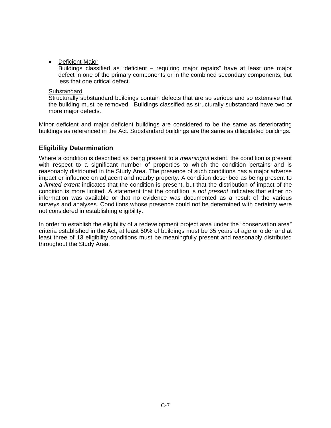• Deficient-Major

Buildings classified as "deficient – requiring major repairs" have at least one major defect in one of the primary components or in the combined secondary components, but less that one critical defect.

#### **Substandard**

Structurally substandard buildings contain defects that are so serious and so extensive that the building must be removed. Buildings classified as structurally substandard have two or more major defects.

Minor deficient and major deficient buildings are considered to be the same as deteriorating buildings as referenced in the Act. Substandard buildings are the same as dilapidated buildings.

#### **Eligibility Determination**

Where a condition is described as being present to a *meaningful* extent, the condition is present with respect to a significant number of properties to which the condition pertains and is reasonably distributed in the Study Area. The presence of such conditions has a major adverse impact or influence on adjacent and nearby property. A condition described as being present to a *limited extent* indicates that the condition is present, but that the distribution of impact of the condition is more limited. A statement that the condition is *not present* indicates that either no information was available or that no evidence was documented as a result of the various surveys and analyses. Conditions whose presence could not be determined with certainty were not considered in establishing eligibility.

In order to establish the eligibility of a redevelopment project area under the "conservation area" criteria established in the Act, at least 50% of buildings must be 35 years of age or older and at least three of 13 eligibility conditions must be meaningfully present and reasonably distributed throughout the Study Area.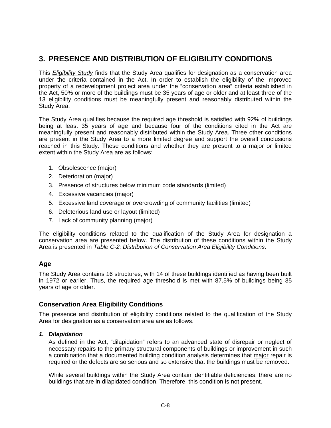### **3. PRESENCE AND DISTRIBUTION OF ELIGIBILITY CONDITIONS**

This *Eligibility Study* finds that the Study Area qualifies for designation as a conservation area under the criteria contained in the Act. In order to establish the eligibility of the improved property of a redevelopment project area under the "conservation area" criteria established in the Act, 50% or more of the buildings must be 35 years of age or older and at least three of the 13 eligibility conditions must be meaningfully present and reasonably distributed within the Study Area.

The Study Area qualifies because the required age threshold is satisfied with 92% of buildings being at least 35 years of age and because four of the conditions cited in the Act are meaningfully present and reasonably distributed within the Study Area. Three other conditions are present in the Study Area to a more limited degree and support the overall conclusions reached in this Study. These conditions and whether they are present to a major or limited extent within the Study Area are as follows:

- 1. Obsolescence (major)
- 2. Deterioration (major)
- 3. Presence of structures below minimum code standards (limited)
- 4. Excessive vacancies (major)
- 5. Excessive land coverage or overcrowding of community facilities (limited)
- 6. Deleterious land use or layout (limited)
- 7. Lack of community planning (major)

The eligibility conditions related to the qualification of the Study Area for designation a conservation area are presented below. The distribution of these conditions within the Study Area is presented in *Table C-2: Distribution of Conservation Area Eligibility Conditions*.

#### **Age**

The Study Area contains 16 structures, with 14 of these buildings identified as having been built in 1972 or earlier. Thus, the required age threshold is met with 87.5% of buildings being 35 years of age or older.

#### **Conservation Area Eligibility Conditions**

The presence and distribution of eligibility conditions related to the qualification of the Study Area for designation as a conservation area are as follows.

#### *1. Dilapidation*

As defined in the Act, "dilapidation" refers to an advanced state of disrepair or neglect of necessary repairs to the primary structural components of buildings or improvement in such a combination that a documented building condition analysis determines that major repair is required or the defects are so serious and so extensive that the buildings must be removed.

While several buildings within the Study Area contain identifiable deficiencies, there are no buildings that are in dilapidated condition. Therefore, this condition is not present.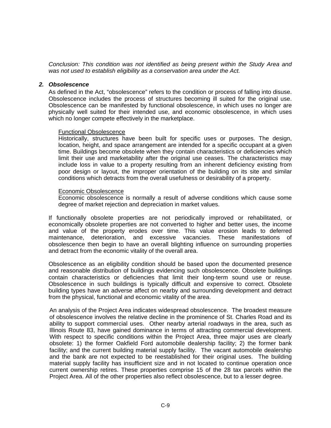*Conclusion: This condition was not identified as being present within the Study Area and was not used to establish eligibility as a conservation area under the Act.* 

#### *2. Obsolescence*

As defined in the Act, "obsolescence" refers to the condition or process of falling into disuse. Obsolescence includes the process of structures becoming ill suited for the original use. Obsolescence can be manifested by functional obsolescence, in which uses no longer are physically well suited for their intended use, and economic obsolescence, in which uses which no longer compete effectively in the marketplace.

#### Functional Obsolescence

Historically, structures have been built for specific uses or purposes. The design, location, height, and space arrangement are intended for a specific occupant at a given time. Buildings become obsolete when they contain characteristics or deficiencies which limit their use and marketability after the original use ceases. The characteristics may include loss in value to a property resulting from an inherent deficiency existing from poor design or layout, the improper orientation of the building on its site and similar conditions which detracts from the overall usefulness or desirability of a property.

#### Economic Obsolescence

Economic obsolescence is normally a result of adverse conditions which cause some degree of market rejection and depreciation in market values.

If functionally obsolete properties are not periodically improved or rehabilitated, or economically obsolete properties are not converted to higher and better uses, the income and value of the property erodes over time. This value erosion leads to deferred maintenance, deterioration, and excessive vacancies. These manifestations of obsolescence then begin to have an overall blighting influence on surrounding properties and detract from the economic vitality of the overall area.

Obsolescence as an eligibility condition should be based upon the documented presence and reasonable distribution of buildings evidencing such obsolescence. Obsolete buildings contain characteristics or deficiencies that limit their long-term sound use or reuse. Obsolescence in such buildings is typically difficult and expensive to correct. Obsolete building types have an adverse affect on nearby and surrounding development and detract from the physical, functional and economic vitality of the area.

An analysis of the Project Area indicates widespread obsolescence. The broadest measure of obsolescence involves the relative decline in the prominence of St. Charles Road and its ability to support commercial uses. Other nearby arterial roadways in the area, such as Illinois Route 83, have gained dominance in terms of attracting commercial development. With respect to specific conditions within the Project Area, three major uses are clearly obsolete: 1) the former Oakfield Ford automobile dealership facility; 2) the former bank facility; and the current building material supply facility. The vacant automobile dealership and the bank are not expected to be reestablished for their original uses. The building material supply facility has insufficient size and in not located to continue operation once current ownership retires. These properties comprise 15 of the 28 tax parcels within the Project Area. All of the other properties also reflect obsolescence, but to a lesser degree.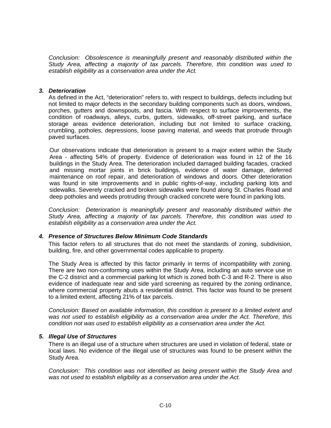*Conclusion: Obsolescence is meaningfully present and reasonably distributed within the Study Area, affecting a majority of tax parcels. Therefore, this condition was used to establish eligibility as a conservation area under the Act.* 

#### *3. Deterioration*

As defined in the Act, "deterioration" refers to, with respect to buildings, defects including but not limited to major defects in the secondary building components such as doors, windows, porches, gutters and downspouts, and fascia. With respect to surface improvements, the condition of roadways, alleys, curbs, gutters, sidewalks, off-street parking, and surface storage areas evidence deterioration, including but not limited to surface cracking, crumbling, potholes, depressions, loose paving material, and weeds that protrude through paved surfaces.

Our observations indicate that deterioration is present to a major extent within the Study Area - affecting 54% of property. Evidence of deterioration was found in 12 of the 16 buildings in the Study Area. The deterioration included damaged building facades, cracked and missing mortar joints in brick buildings, evidence of water damage, deferred maintenance on roof repair, and deterioration of windows and doors. Other deterioration was found in site improvements and in public rights-of-way, including parking lots and sidewalks. Severely cracked and broken sidewalks were found along St. Charles Road and deep potholes and weeds protruding through cracked concrete were found in parking lots.

*Conclusion: Deterioration is meaningfully present and reasonably distributed within the Study Area, affecting a majority of tax parcels. Therefore, this condition was used to establish eligibility as a conservation area under the Act.* 

#### *4. Presence of Structures Below Minimum Code Standards*

This factor refers to all structures that do not meet the standards of zoning, subdivision, building, fire, and other governmental codes applicable to property.

The Study Area is affected by this factor primarily in terms of incompatibility with zoning. There are two non-conforming uses within the Study Area, including an auto service use in the C-2 district and a commercial parking lot which is zoned both C-3 and R-2. There is also evidence of inadequate rear and side yard screening as required by the zoning ordinance, where commercial property abuts a residential district. This factor was found to be present to a limited extent, affecting 21% of tax parcels.

*Conclusion: Based on available information, this condition is present to a limited extent and was not used to establish eligibility as a conservation area under the Act. Therefore, this condition not was used to establish eligibility as a conservation area under the Act.* 

#### *5. Illegal Use of Structures*

There is an illegal use of a structure when structures are used in violation of federal, state or local laws. No evidence of the illegal use of structures was found to be present within the Study Area.

*Conclusion: This condition was not identified as being present within the Study Area and was not used to establish eligibility as a conservation area under the Act.*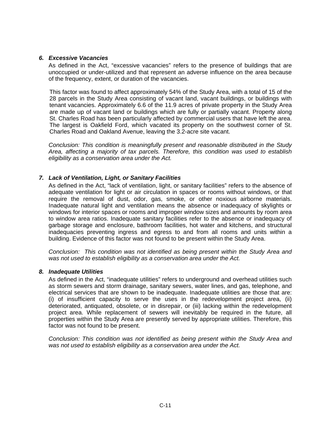#### *6. Excessive Vacancies*

As defined in the Act, "excessive vacancies" refers to the presence of buildings that are unoccupied or under-utilized and that represent an adverse influence on the area because of the frequency, extent, or duration of the vacancies.

This factor was found to affect approximately 54% of the Study Area, with a total of 15 of the 28 parcels in the Study Area consisting of vacant land, vacant buildings, or buildings with tenant vacancies. Approximately 6.6 of the 11.9 acres of private property in the Study Area are made up of vacant land or buildings which are fully or partially vacant. Property along St. Charles Road has been particularly affected by commercial users that have left the area. The largest is Oakfield Ford, which vacated its property on the southwest corner of St. Charles Road and Oakland Avenue, leaving the 3.2-acre site vacant.

*Conclusion: This condition is meaningfully present and reasonable distributed in the Study Area, affecting a majority of tax parcels. Therefore, this condition was used to establish eligibility as a conservation area under the Act.* 

#### *7. Lack of Ventilation, Light, or Sanitary Facilities*

As defined in the Act, "lack of ventilation, light, or sanitary facilities" refers to the absence of adequate ventilation for light or air circulation in spaces or rooms without windows, or that require the removal of dust, odor, gas, smoke, or other noxious airborne materials. Inadequate natural light and ventilation means the absence or inadequacy of skylights or windows for interior spaces or rooms and improper window sizes and amounts by room area to window area ratios. Inadequate sanitary facilities refer to the absence or inadequacy of garbage storage and enclosure, bathroom facilities, hot water and kitchens, and structural inadequacies preventing ingress and egress to and from all rooms and units within a building. Evidence of this factor was not found to be present within the Study Area.

*Conclusion: This condition was not identified as being present within the Study Area and was not used to establish eligibility as a conservation area under the Act.* 

#### *8. Inadequate Utilities*

As defined in the Act, "inadequate utilities" refers to underground and overhead utilities such as storm sewers and storm drainage, sanitary sewers, water lines, and gas, telephone, and electrical services that are shown to be inadequate. Inadequate utilities are those that are: (i) of insufficient capacity to serve the uses in the redevelopment project area, (ii) deteriorated, antiquated, obsolete, or in disrepair, or (iii) lacking within the redevelopment project area. While replacement of sewers will inevitably be required in the future, all properties within the Study Area are presently served by appropriate utilities. Therefore, this factor was not found to be present.

*Conclusion: This condition was not identified as being present within the Study Area and was not used to establish eligibility as a conservation area under the Act.*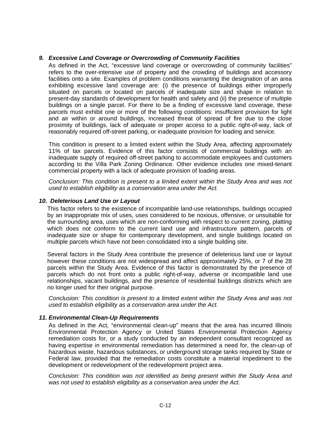#### *9. Excessive Land Coverage or Overcrowding of Community Facilities*

As defined in the Act, "excessive land coverage or overcrowding of community facilities" refers to the over-intensive use of property and the crowding of buildings and accessory facilities onto a site. Examples of problem conditions warranting the designation of an area exhibiting excessive land coverage are: (i) the presence of buildings either improperly situated on parcels or located on parcels of inadequate size and shape in relation to present-day standards of development for health and safety and (ii) the presence of multiple buildings on a single parcel. For there to be a finding of excessive land coverage, these parcels must exhibit one or more of the following conditions: insufficient provision for light and air within or around buildings, increased threat of spread of fire due to the close proximity of buildings, lack of adequate or proper access to a public right-of-way, lack of reasonably required off-street parking, or inadequate provision for loading and service.

This condition is present to a limited extent within the Study Area, affecting approximately 11% of tax parcels. Evidence of this factor consists of commercial buildings with an inadequate supply of required off-street parking to accommodate employees and customers according to the Villa Park Zoning Ordinance. Other evidence includes one mixed-tenant commercial property with a lack of adequate provision of loading areas.

*Conclusion: This condition is present to a limited extent within the Study Area and was not used to establish eligibility as a conservation area under the Act.* 

#### *10. Deleterious Land Use or Layout*

This factor refers to the existence of incompatible land-use relationships, buildings occupied by an inappropriate mix of uses, uses considered to be noxious, offensive, or unsuitable for the surrounding area, uses which are non-conforming with respect to current zoning, platting which does not conform to the current land use and infrastructure pattern, parcels of inadequate size or shape for contemporary development, and single buildings located on multiple parcels which have not been consolidated into a single building site.

Several factors in the Study Area contribute the presence of deleterious land use or layout however these conditions are not widespread and affect approximately 25%, or 7 of the 28 parcels within the Study Area. Evidence of this factor is demonstrated by the presence of parcels which do not front onto a public right-of-way, adverse or incompatible land use relationships, vacant buildings, and the presence of residential buildings districts which are no longer used for their original purpose.

*Conclusion: This condition is present to a limited extent within the Study Area and was not used to establish eligibility as a conservation area under the Act.* 

#### *11. Environmental Clean-Up Requirements*

As defined in the Act, "environmental clean-up" means that the area has incurred Illinois Environmental Protection Agency or United States Environmental Protection Agency remediation costs for, or a study conducted by an independent consultant recognized as having expertise in environmental remediation has determined a need for, the clean-up of hazardous waste, hazardous substances, or underground storage tanks required by State or Federal law, provided that the remediation costs constitute a material impediment to the development or redevelopment of the redevelopment project area.

*Conclusion: This condition was not identified as being present within the Study Area and was not used to establish eligibility as a conservation area under the Act.*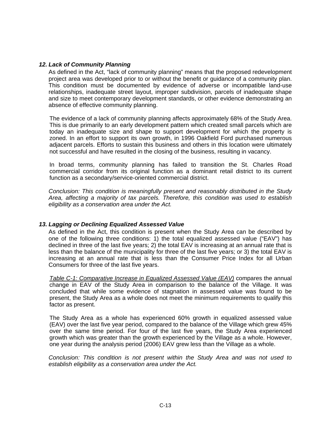#### *12. Lack of Community Planning*

As defined in the Act, "lack of community planning" means that the proposed redevelopment project area was developed prior to or without the benefit or guidance of a community plan. This condition must be documented by evidence of adverse or incompatible land-use relationships, inadequate street layout, improper subdivision, parcels of inadequate shape and size to meet contemporary development standards, or other evidence demonstrating an absence of effective community planning.

The evidence of a lack of community planning affects approximately 68% of the Study Area. This is due primarily to an early development pattern which created small parcels which are today an inadequate size and shape to support development for which the property is zoned. In an effort to support its own growth, in 1996 Oakfield Ford purchased numerous adjacent parcels. Efforts to sustain this business and others in this location were ultimately not successful and have resulted in the closing of the business, resulting in vacancy.

In broad terms, community planning has failed to transition the St. Charles Road commercial corridor from its original function as a dominant retail district to its current function as a secondary/service-oriented commercial district.

*Conclusion: This condition is meaningfully present and reasonably distributed in the Study Area, affecting a majority of tax parcels. Therefore, this condition was used to establish eligibility as a conservation area under the Act.* 

#### *13. Lagging or Declining Equalized Assessed Value*

As defined in the Act, this condition is present when the Study Area can be described by one of the following three conditions: 1) the total equalized assessed value ("EAV") has declined in three of the last five years; 2) the total EAV is increasing at an annual rate that is less than the balance of the municipality for three of the last five years; or 3) the total EAV is increasing at an annual rate that is less than the Consumer Price Index for all Urban Consumers for three of the last five years.

*Table C-1: Comparative Increase in Equalized Assessed Value (EAV)* compares the annual change in EAV of the Study Area in comparison to the balance of the Village. It was concluded that while some evidence of stagnation in assessed value was found to be present, the Study Area as a whole does not meet the minimum requirements to qualify this factor as present.

The Study Area as a whole has experienced 60% growth in equalized assessed value (EAV) over the last five year period, compared to the balance of the Village which grew 45% over the same time period. For four of the last five years, the Study Area experienced growth which was greater than the growth experienced by the Village as a whole. However, one year during the analysis period (2006) EAV grew less than the Village as a whole.

*Conclusion: This condition is not present within the Study Area and was not used to establish eligibility as a conservation area under the Act.*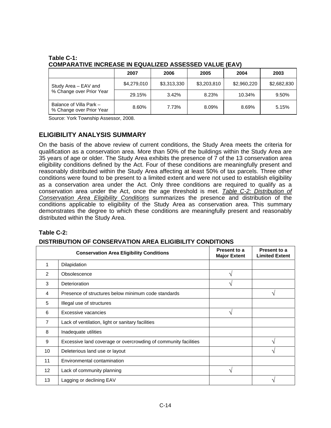|                                                     | 2007        | 2006        | 2005        | 2004        | 2003        |
|-----------------------------------------------------|-------------|-------------|-------------|-------------|-------------|
| Study Area - EAV and                                | \$4,279,010 | \$3,313,330 | \$3,203,810 | \$2,960,220 | \$2,682,830 |
| % Change over Prior Year                            | 29.15%      | 3.42%       | 8.23%       | 10.34%      | 9.50%       |
| Balance of Villa Park -<br>% Change over Prior Year | 8.60%       | 7.73%       | 8.09%       | 8.69%       | 5.15%       |

#### **Table C-1: COMPARATIVE INCREASE IN EQUALIZED ASSESSED VALUE (EAV)**

Source: York Township Assessor, 2008.

### **ELIGIBILITY ANALYSIS SUMMARY**

On the basis of the above review of current conditions, the Study Area meets the criteria for qualification as a conservation area. More than 50% of the buildings within the Study Area are 35 years of age or older. The Study Area exhibits the presence of 7 of the 13 conservation area eligibility conditions defined by the Act. Four of these conditions are meaningfully present and reasonably distributed within the Study Area affecting at least 50% of tax parcels. Three other conditions were found to be present to a limited extent and were not used to establish eligibility as a conservation area under the Act. Only three conditions are required to qualify as a conservation area under the Act, once the age threshold is met. *Table C-2: Distribution of Conservation Area Eligibility Conditions* summarizes the presence and distribution of the conditions applicable to eligibility of the Study Area as conservation area. This summary demonstrates the degree to which these conditions are meaningfully present and reasonably distributed within the Study Area.

#### **Table C-2:**

#### **DISTRIBUTION OF CONSERVATION AREA ELIGIBILITY CONDITIONS**

|                 | <b>Conservation Area Eligibility Conditions</b>                 | Present to a<br><b>Major Extent</b> | Present to a<br><b>Limited Extent</b> |
|-----------------|-----------------------------------------------------------------|-------------------------------------|---------------------------------------|
| 1               | Dilapidation                                                    |                                     |                                       |
| 2               | Obsolescence                                                    | N                                   |                                       |
| 3               | Deterioration                                                   | ٦Ι                                  |                                       |
| 4               | Presence of structures below minimum code standards             |                                     | ٦                                     |
| 5               | Illegal use of structures                                       |                                     |                                       |
| 6               | Excessive vacancies                                             | ٦Ι                                  |                                       |
| $\overline{7}$  | Lack of ventilation, light or sanitary facilities               |                                     |                                       |
| 8               | Inadequate utilities                                            |                                     |                                       |
| 9               | Excessive land coverage or overcrowding of community facilities |                                     | ٦                                     |
| 10              | Deleterious land use or layout                                  |                                     | ٦                                     |
| 11              | Environmental contamination                                     |                                     |                                       |
| 12 <sup>2</sup> | Lack of community planning                                      | ٦Ι                                  |                                       |
| 13              | Lagging or declining EAV                                        |                                     | ٦                                     |